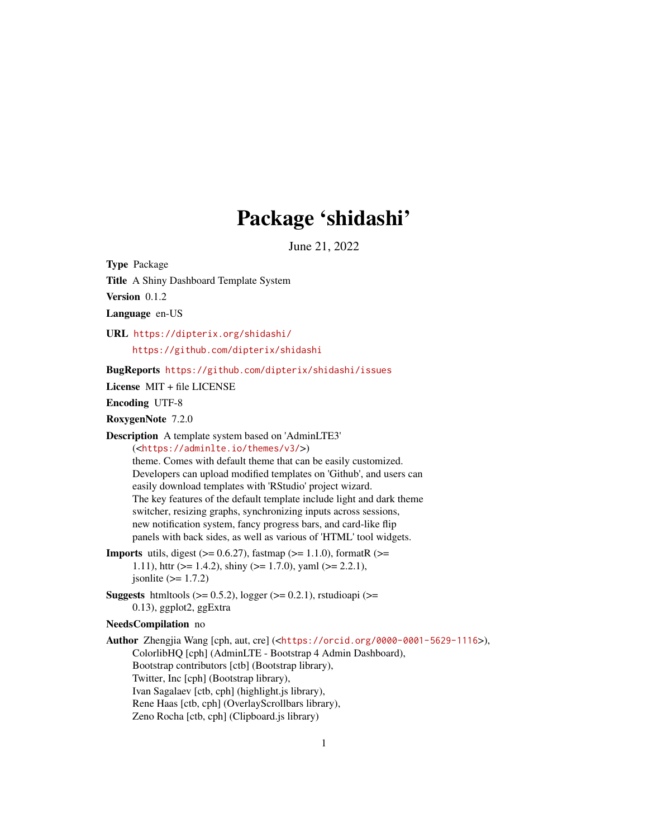# Package 'shidashi'

June 21, 2022

<span id="page-0-0"></span>Type Package

Title A Shiny Dashboard Template System

Version 0.1.2

Language en-US

URL <https://dipterix.org/shidashi/> <https://github.com/dipterix/shidashi>

BugReports <https://github.com/dipterix/shidashi/issues>

License MIT + file LICENSE

Encoding UTF-8

RoxygenNote 7.2.0

Description A template system based on 'AdminLTE3' (<<https://adminlte.io/themes/v3/>>)

> theme. Comes with default theme that can be easily customized. Developers can upload modified templates on 'Github', and users can easily download templates with 'RStudio' project wizard. The key features of the default template include light and dark theme switcher, resizing graphs, synchronizing inputs across sessions, new notification system, fancy progress bars, and card-like flip panels with back sides, as well as various of 'HTML' tool widgets.

- **Imports** utils, digest  $(>= 0.6.27)$ , fastmap  $(>= 1.1.0)$ , formatR  $(>= 1.1.0)$ 1.11), http: (>= 1.4.2), shiny (>= 1.7.0), yaml (>= 2.2.1), jsonlite  $(>= 1.7.2)$
- **Suggests** htmltools  $(>= 0.5.2)$ , logger  $(>= 0.2.1)$ , rstudioapi  $(>= 0.2.1)$ 0.13), ggplot2, ggExtra

#### NeedsCompilation no

Author Zhengjia Wang [cph, aut, cre] (<<https://orcid.org/0000-0001-5629-1116>>), ColorlibHQ [cph] (AdminLTE - Bootstrap 4 Admin Dashboard), Bootstrap contributors [ctb] (Bootstrap library), Twitter, Inc [cph] (Bootstrap library), Ivan Sagalaev [ctb, cph] (highlight.js library), Rene Haas [ctb, cph] (OverlayScrollbars library), Zeno Rocha [ctb, cph] (Clipboard.js library)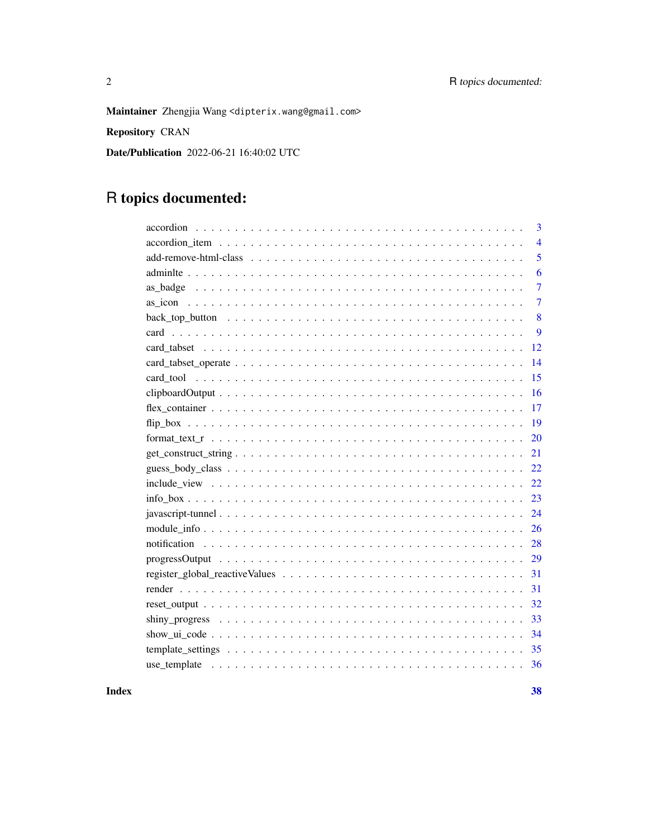Maintainer Zhengjia Wang <dipterix.wang@gmail.com>

Repository CRAN

Date/Publication 2022-06-21 16:40:02 UTC

## R topics documented:

| 3                                                                                                                  |
|--------------------------------------------------------------------------------------------------------------------|
| $\overline{4}$                                                                                                     |
| 5                                                                                                                  |
| 6                                                                                                                  |
| $\overline{7}$                                                                                                     |
| $\overline{7}$                                                                                                     |
| 8                                                                                                                  |
| 9                                                                                                                  |
| 12                                                                                                                 |
| 14                                                                                                                 |
| 15                                                                                                                 |
| 16                                                                                                                 |
| 17                                                                                                                 |
| 19                                                                                                                 |
| 20                                                                                                                 |
| 21<br>$get\_construct\_string \dots \dots \dots \dots \dots \dots \dots \dots \dots \dots \dots \dots \dots \dots$ |
| 22                                                                                                                 |
| 22                                                                                                                 |
| 23                                                                                                                 |
| 24                                                                                                                 |
| 26                                                                                                                 |
| 28                                                                                                                 |
| 29                                                                                                                 |
| 31                                                                                                                 |
| 31                                                                                                                 |
| 32                                                                                                                 |
| 33                                                                                                                 |
| -34                                                                                                                |
| 35                                                                                                                 |
|                                                                                                                    |
|                                                                                                                    |

**Index** [38](#page-37-0)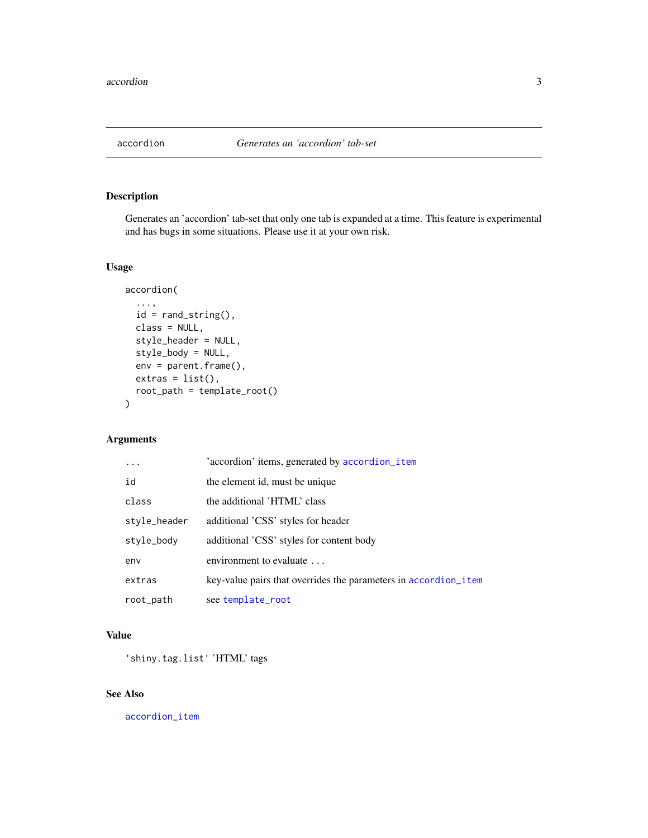<span id="page-2-1"></span><span id="page-2-0"></span>

## Description

Generates an 'accordion' tab-set that only one tab is expanded at a time. This feature is experimental and has bugs in some situations. Please use it at your own risk.

## Usage

```
accordion(
  ...,
  id = rand\_string(),
 class = NULL,
  style_header = NULL,
  style_body = NULL,
  env = parent.frame(),
 extras = list(),root_path = template_root()
\mathcal{E}
```
## Arguments

|              | 'accordion' items, generated by accordion_item                  |
|--------------|-----------------------------------------------------------------|
| id           | the element id, must be unique                                  |
| class        | the additional 'HTML' class                                     |
| style_header | additional 'CSS' styles for header                              |
| style_body   | additional 'CSS' styles for content body                        |
| env          | environment to evaluate                                         |
| extras       | key-value pairs that overrides the parameters in accordion_item |
| root_path    | see template_root                                               |

## Value

'shiny.tag.list' 'HTML' tags

## See Also

[accordion\\_item](#page-3-1)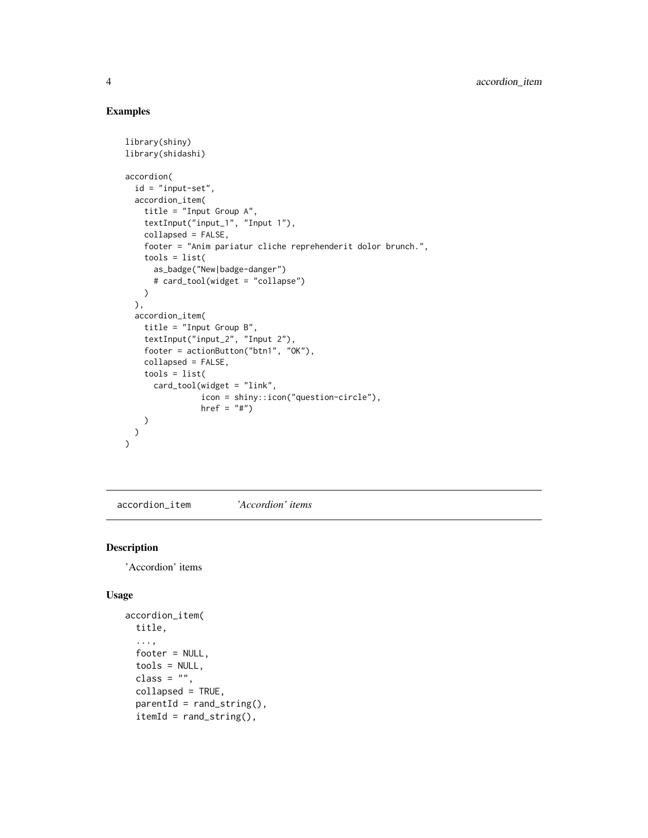## Examples

```
library(shiny)
library(shidashi)
accordion(
  id = "input-set",
  accordion_item(
   title = "Input Group A",
   textInput("input_1", "Input 1"),
   collapsed = FALSE,
   footer = "Anim pariatur cliche reprehenderit dolor brunch.",
   tools = list(
     as_badge("New|badge-danger")
      # card_tool(widget = "collapse")
   )
 ),
  accordion_item(
   title = "Input Group B",
   textInput("input_2", "Input 2"),
   footer = actionButton("btn1", "OK"),
   collapsed = FALSE,
    tools = list(
      card_tool(widget = "link",
                icon = shiny::icon("question-circle"),
                href = "#")
   )
 )
\mathcal{L}
```
<span id="page-3-1"></span>accordion\_item *'Accordion' items*

## Description

'Accordion' items

```
accordion_item(
  title,
  ...,
  footer = NULL,
  tools = NULL,
  class = ",
  collapsed = TRUE,
  parentId = rand\_string(),itemId = rand\_string(),
```
<span id="page-3-0"></span>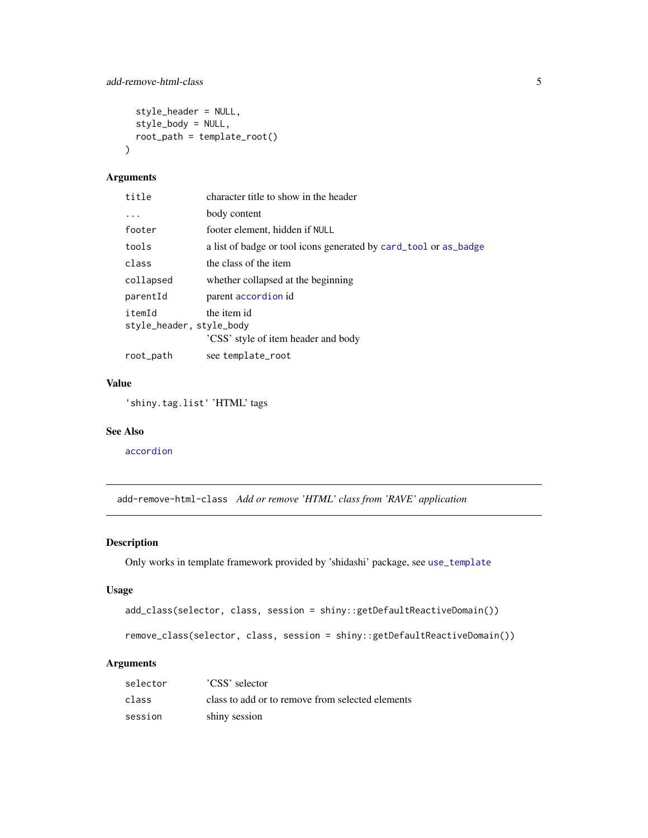```
style_header = NULL,
  style_body = NULL,
  root_path = template_root()
\mathcal{L}
```
## Arguments

| title                              | character title to show in the header                            |
|------------------------------------|------------------------------------------------------------------|
| $\cdots$                           | body content                                                     |
| footer                             | footer element, hidden if NULL                                   |
| tools                              | a list of badge or tool icons generated by card_tool or as_badge |
| class                              | the class of the item                                            |
| collapsed                          | whether collapsed at the beginning                               |
| parentId                           | parent accordion id                                              |
| itemId<br>style_header, style_body | the item id<br>'CSS' style of item header and body               |
| root_path                          | see template_root                                                |

## Value

'shiny.tag.list' 'HTML' tags

## See Also

[accordion](#page-2-1)

add-remove-html-class *Add or remove 'HTML' class from 'RAVE' application*

## Description

Only works in template framework provided by 'shidashi' package, see [use\\_template](#page-35-1)

## Usage

```
add_class(selector, class, session = shiny::getDefaultReactiveDomain())
```
remove\_class(selector, class, session = shiny::getDefaultReactiveDomain())

## Arguments

| selector | 'CSS' selector                                   |
|----------|--------------------------------------------------|
| class    | class to add or to remove from selected elements |
| session  | shiny session                                    |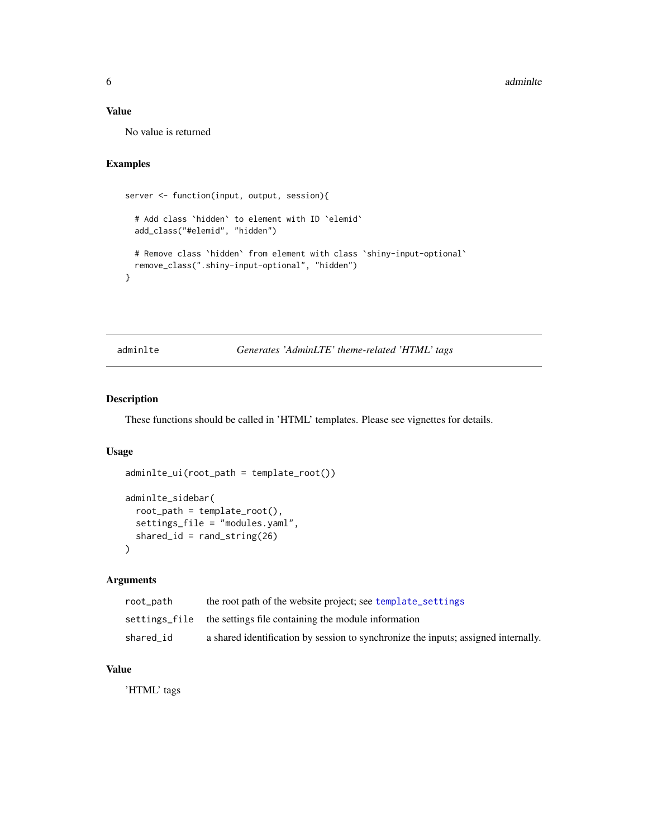## <span id="page-5-0"></span>Value

No value is returned

## Examples

```
server <- function(input, output, session){
 # Add class `hidden` to element with ID `elemid`
 add_class("#elemid", "hidden")
 # Remove class `hidden` from element with class `shiny-input-optional`
 remove_class(".shiny-input-optional", "hidden")
}
```
adminlte *Generates 'AdminLTE' theme-related 'HTML' tags*

## Description

These functions should be called in 'HTML' templates. Please see vignettes for details.

#### Usage

```
adminlte_ui(root_path = template_root())
adminlte_sidebar(
  root<sub>-path</sub> = template_root(),
  settings_file = "modules.yaml",
  shared_id = rand\_string(26)
```
#### $\mathcal{L}$

#### Arguments

| root_path | the root path of the website project; see template_settings                        |
|-----------|------------------------------------------------------------------------------------|
|           | settings file the settings file containing the module information                  |
| shared id | a shared identification by session to synchronize the inputs; assigned internally. |

## Value

'HTML' tags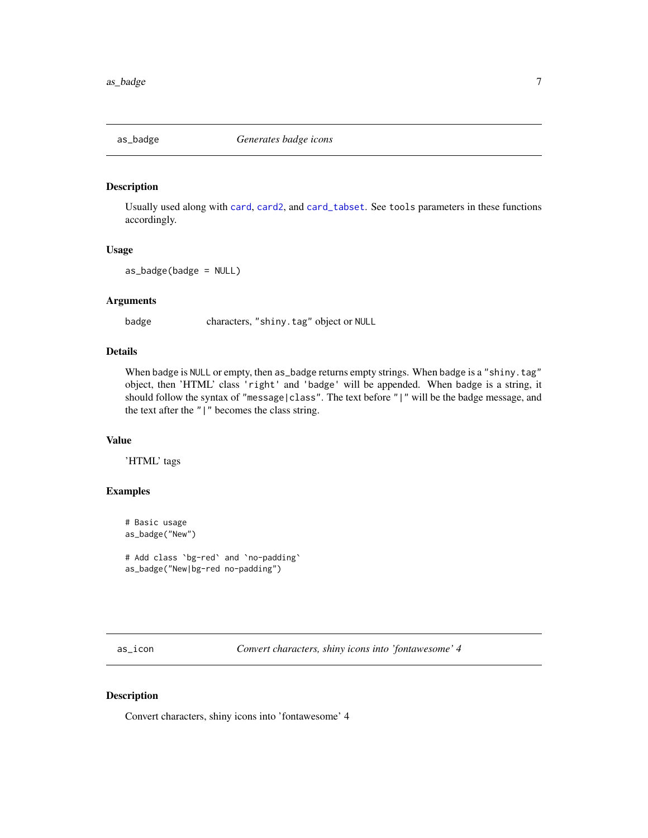<span id="page-6-1"></span><span id="page-6-0"></span>

## Description

Usually used along with [card](#page-8-1), [card2](#page-8-2), and [card\\_tabset](#page-11-1). See tools parameters in these functions accordingly.

## Usage

as\_badge(badge = NULL)

#### Arguments

badge characters, "shiny.tag" object or NULL

#### Details

When badge is NULL or empty, then as\_badge returns empty strings. When badge is a "shiny.tag" object, then 'HTML' class 'right' and 'badge' will be appended. When badge is a string, it should follow the syntax of "message|class". The text before "|" will be the badge message, and the text after the "|" becomes the class string.

## Value

'HTML' tags

#### Examples

```
# Basic usage
as_badge("New")
# Add class `bg-red` and `no-padding`
as_badge("New|bg-red no-padding")
```
<span id="page-6-2"></span>as\_icon *Convert characters, shiny icons into 'fontawesome' 4*

#### Description

Convert characters, shiny icons into 'fontawesome' 4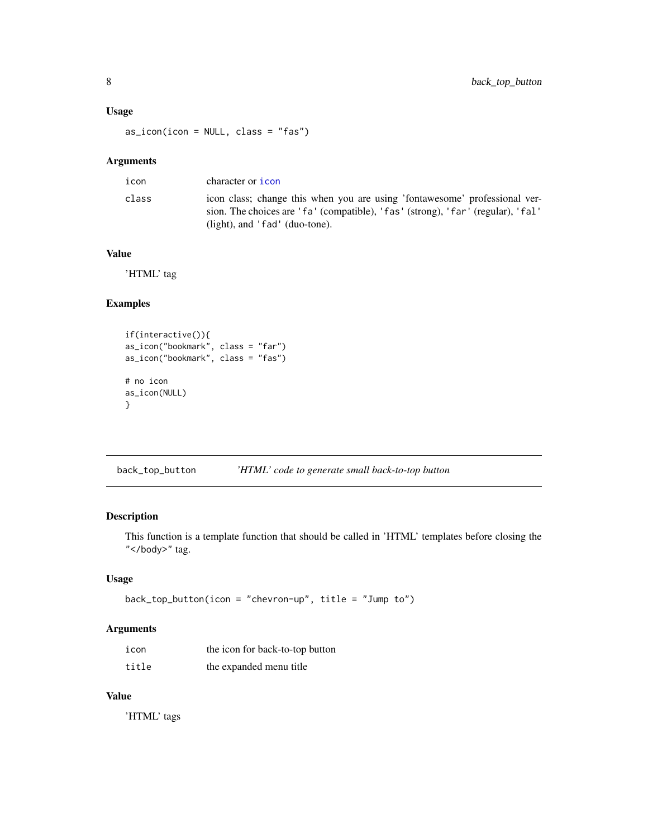## <span id="page-7-0"></span>Usage

as\_icon(icon = NULL, class = "fas")

## Arguments

| icon  | character or <b>icon</b>                                                                                                                                                                        |
|-------|-------------------------------------------------------------------------------------------------------------------------------------------------------------------------------------------------|
| class | icon class; change this when you are using 'fontawesome' professional ver-<br>sion. The choices are 'fa' (compatible), 'fas' (strong), 'far' (regular), 'fal'<br>(light), and 'fad' (duo-tone). |

## Value

'HTML' tag

## Examples

```
if(interactive()){
as_icon("bookmark", class = "far")
as_icon("bookmark", class = "fas")
# no icon
as_icon(NULL)
}
```
back\_top\_button *'HTML' code to generate small back-to-top button*

#### Description

This function is a template function that should be called in 'HTML' templates before closing the "</body>" tag.

## Usage

```
back_top_button(icon = "chevron-up", title = "Jump to")
```
## Arguments

| icon  | the icon for back-to-top button |
|-------|---------------------------------|
| title | the expanded menu title         |

## Value

'HTML' tags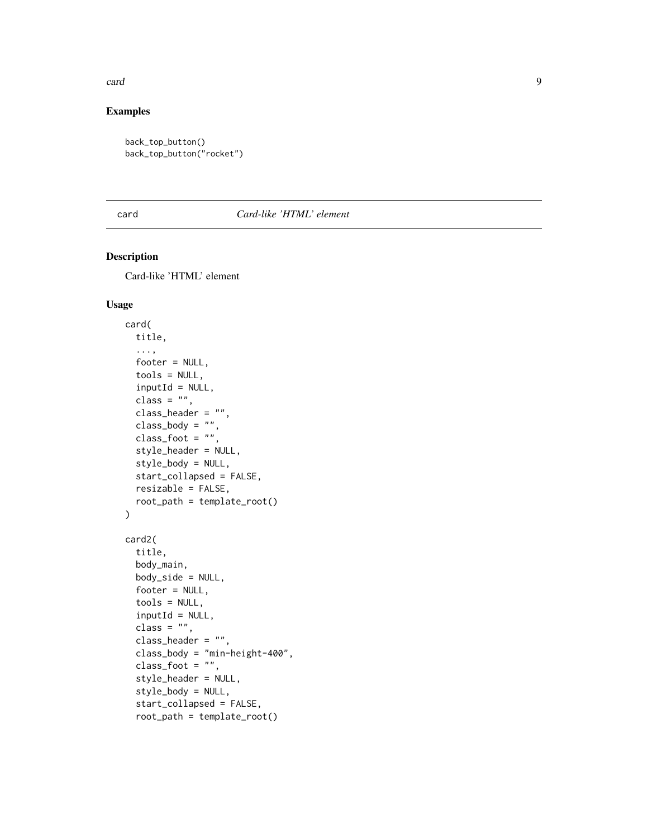#### <span id="page-8-0"></span>card 99 and 200 million and 200 million and 200 million and 200 million and 200 million and 200 million and 20

## Examples

```
back_top_button()
back_top_button("rocket")
```
## <span id="page-8-1"></span>card *Card-like 'HTML' element*

## <span id="page-8-2"></span>Description

Card-like 'HTML' element

```
card(
  title,
  ...,
  footer = NULL,
  tools = NULL,
  inputId = NULL,class = ",
  class_header = "",
  class_body = "",
  class\_foot = "",style_header = NULL,
  style_body = NULL,
  start_collapsed = FALSE,
  resizable = FALSE,
  root_path = template_root()
\mathcal{L}card2(
  title,
  body_main,
  body_side = NULL,
  footer = NULL,
  tools = NULL,
  inputId = NULL,class = ",
  class_header = ",
  class_body = "min-height-400",
  class_foot = ",
  style_header = NULL,
  style_body = NULL,
  start_collapsed = FALSE,
  root_path = template_root()
```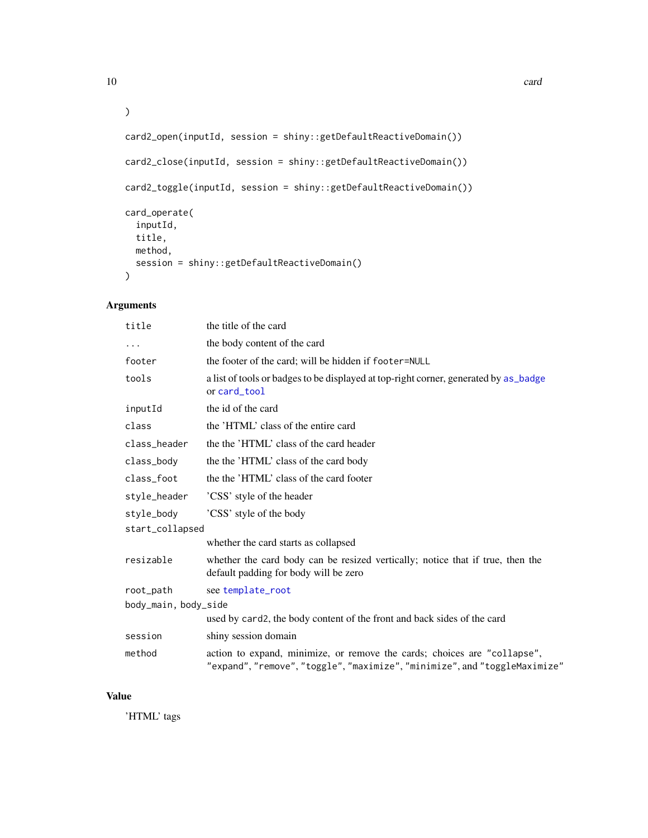```
\mathcal{L}card2_open(inputId, session = shiny::getDefaultReactiveDomain())
card2_close(inputId, session = shiny::getDefaultReactiveDomain())
card2_toggle(inputId, session = shiny::getDefaultReactiveDomain())
card_operate(
  inputId,
  title,
  method,
  session = shiny::getDefaultReactiveDomain()
```
## Arguments

)

| title                | the title of the card                                                                                                                                  |  |
|----------------------|--------------------------------------------------------------------------------------------------------------------------------------------------------|--|
| .                    | the body content of the card                                                                                                                           |  |
| footer               | the footer of the card; will be hidden if footer=NULL                                                                                                  |  |
| tools                | a list of tools or badges to be displayed at top-right corner, generated by as_badge<br>or card_tool                                                   |  |
| inputId              | the id of the card                                                                                                                                     |  |
| class                | the 'HTML' class of the entire card                                                                                                                    |  |
| class_header         | the the 'HTML' class of the card header                                                                                                                |  |
| class_body           | the the 'HTML' class of the card body                                                                                                                  |  |
| class_foot           | the the 'HTML' class of the card footer                                                                                                                |  |
| style_header         | 'CSS' style of the header                                                                                                                              |  |
| style_body           | 'CSS' style of the body                                                                                                                                |  |
| start_collapsed      |                                                                                                                                                        |  |
|                      | whether the card starts as collapsed                                                                                                                   |  |
| resizable            | whether the card body can be resized vertically; notice that if true, then the<br>default padding for body will be zero                                |  |
| root_path            | see template_root                                                                                                                                      |  |
| body_main, body_side |                                                                                                                                                        |  |
|                      | used by card2, the body content of the front and back sides of the card                                                                                |  |
| session              | shiny session domain                                                                                                                                   |  |
| method               | action to expand, minimize, or remove the cards; choices are "collapse",<br>"expand", "remove", "toggle", "maximize", "minimize", and "toggleMaximize" |  |

#### Value

'HTML' tags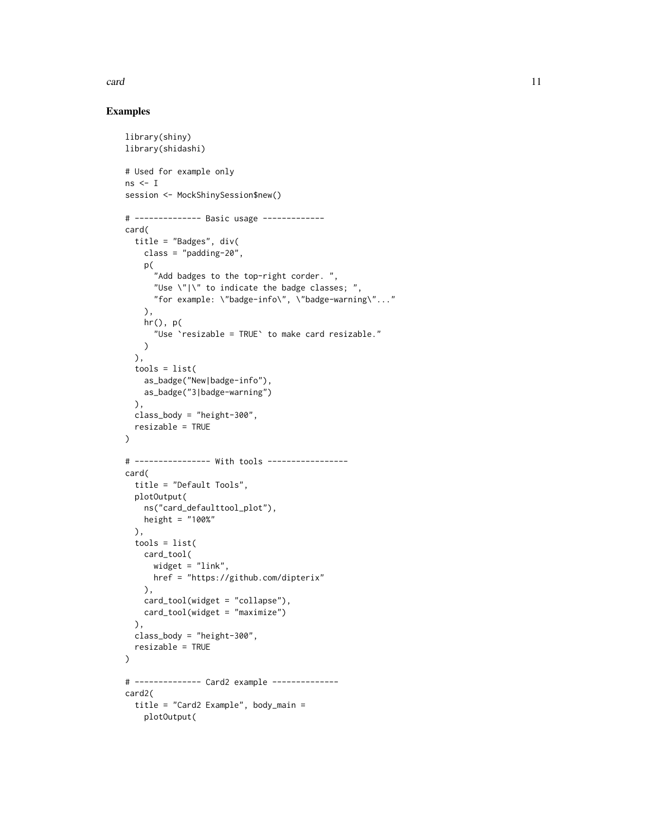#### card 11 and 200 method in the case of the case of the case of the case of the case of the case of the case of the case of the case of the case of the case of the case of the case of the case of the case of the case of the

#### Examples

```
library(shiny)
library(shidashi)
# Used for example only
ns < Isession <- MockShinySession$new()
# -------------- Basic usage -------------
card(
  title = "Badges", div(
    class = "padding-20",
   p(
      "Add badges to the top-right corder. ",
      "Use \Upsilon"|\Upsilon" to indicate the badge classes; ",
      "for example: \"badge-info\", \"badge-warning\"..."
   ),
   hr(), p(
      "Use `resizable = TRUE` to make card resizable."
   )
  ),
  tools = list(
   as_badge("New|badge-info"),
   as_badge("3|badge-warning")
  ),
  class_body = "height-300",
  resizable = TRUE
\lambda# ---------------- With tools -----------------
card(
  title = "Default Tools",
  plotOutput(
   ns("card_defaulttool_plot"),
   height = "100%"
  ),
  tools = list(
   card_tool(
     widget = "link",
     href = "https://github.com/dipterix"
   ),
   card_tool(widget = "collapse"),
   card_tool(widget = "maximize")
  ),
  class_body = "height-300",
  resizable = TRUE
)
# -------------- Card2 example --------------
card2(
 title = "Card2 Example", body_main =
   plotOutput(
```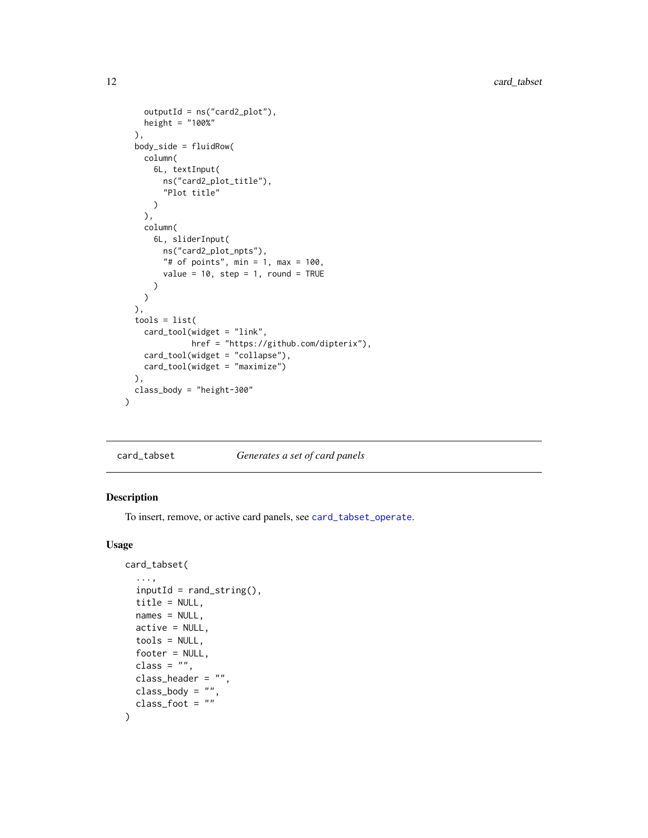```
outputId = ns("card2_plot"),
   height = "100%"
 ),
 body_side = fluidRow(
   column(
      6L, textInput(
       ns("card2_plot_title"),
       "Plot title"
     \lambda),
   column(
      6L, sliderInput(
       ns("card2_plot_npts"),
       "# of points", min = 1, max = 100,
       value = 10, step = 1, round = TRUE
     )
   )
 ),
 tools = list(
   card_tool(widget = "link",
             href = "https://github.com/dipterix"),
   card_tool(widget = "collapse"),
   card_tool(widget = "maximize")
 ),
 class_body = "height-300"
)
```
<span id="page-11-1"></span>card\_tabset *Generates a set of card panels*

#### Description

To insert, remove, or active card panels, see [card\\_tabset\\_operate](#page-13-1).

```
card_tabset(
  ...,
  inputId = rand\_string(),
 title = NULL,
 names = NULL,
 active = NULL,tools = NULL,
  footer = NULL,
 class = ",
 class_header = ",
 class_body = ",
  class_foot = ")
```
<span id="page-11-0"></span>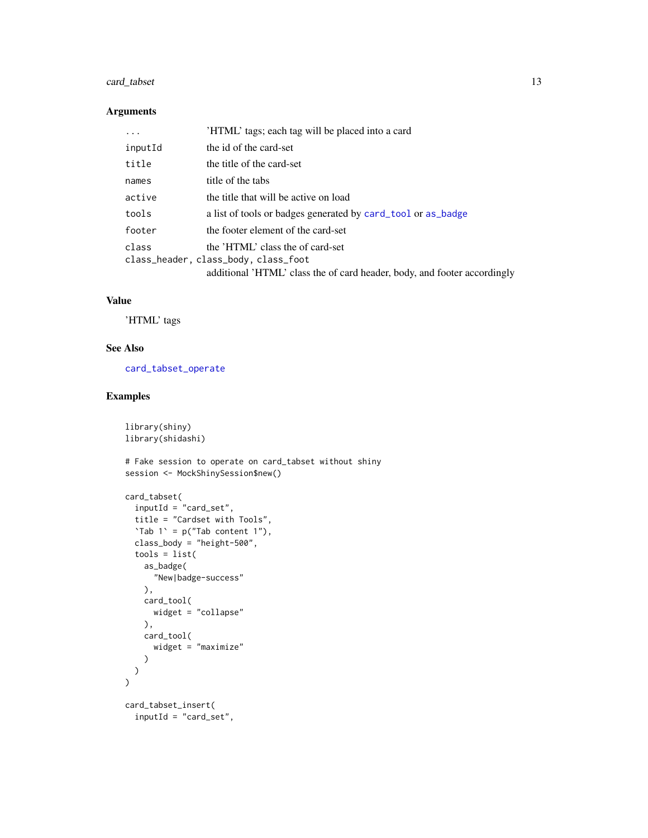## <span id="page-12-0"></span>card\_tabset 13

#### Arguments

| $\ddots$ . | 'HTML' tags; each tag will be placed into a card                         |
|------------|--------------------------------------------------------------------------|
| inputId    | the id of the card-set                                                   |
| title      | the title of the card-set                                                |
| names      | title of the tabs                                                        |
| active     | the title that will be active on load                                    |
| tools      | a list of tools or badges generated by card_tool or as_badge             |
| footer     | the footer element of the card-set                                       |
| class      | the 'HTML' class the of card-set                                         |
|            | class_header, class_body, class_foot                                     |
|            | additional 'HTML' class the of card header, body, and footer accordingly |

## Value

'HTML' tags

library(shiny)

## See Also

[card\\_tabset\\_operate](#page-13-1)

## Examples

```
library(shidashi)
# Fake session to operate on card_tabset without shiny
session <- MockShinySession$new()
card_tabset(
  inputId = "card_set",
  title = "Cardset with Tools",
  'Tab 1' = p("Tab content 1"),class_body = "height-500",
  tools = list(
    as_badge(
      "New|badge-success"
    ),
    card_tool(
      widget = "collapse"
    ),
    card_tool(
      widget = "maximize"
    )
 )
\overline{\phantom{a}}card_tabset_insert(
  inputId = "card_set",
```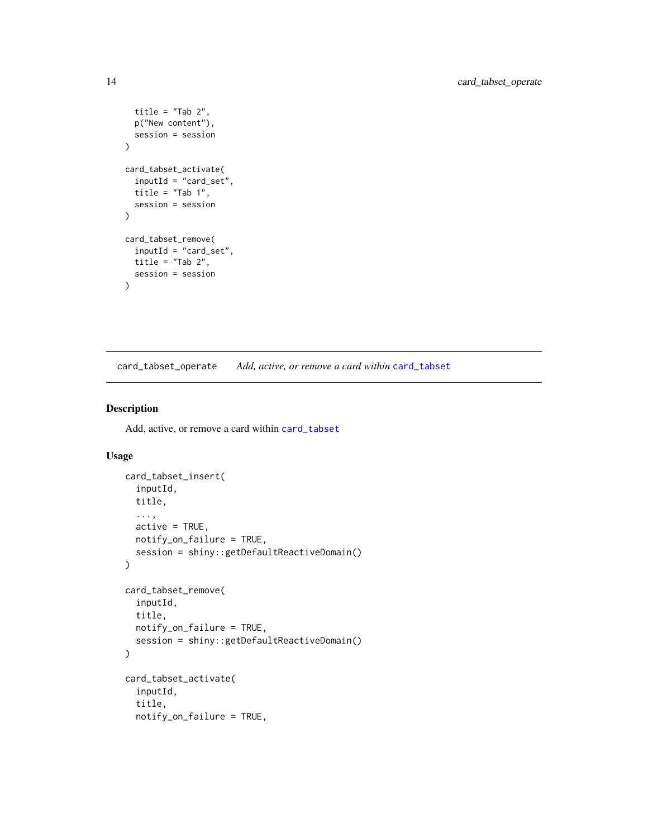```
title = "Tab 2",p("New content"),
  session = session
\mathcal{L}card_tabset_activate(
  inputId = "card_set",
  title = "Tab 1",session = session
\lambdacard_tabset_remove(
  inputId = "card_set",
  title = "Tab 2",
  session = session
\mathcal{L}
```
<span id="page-13-1"></span>card\_tabset\_operate *Add, active, or remove a card within* [card\\_tabset](#page-11-1)

## Description

Add, active, or remove a card within [card\\_tabset](#page-11-1)

```
card_tabset_insert(
  inputId,
  title,
  ...,
  active = TRUE,notify_on_failure = TRUE,
  session = shiny::getDefaultReactiveDomain()
\mathcal{E}card_tabset_remove(
  inputId,
  title,
  notify_on_failure = TRUE,
  session = shiny::getDefaultReactiveDomain()
\mathcal{L}card_tabset_activate(
  inputId,
  title,
  notify_on_failure = TRUE,
```
<span id="page-13-0"></span>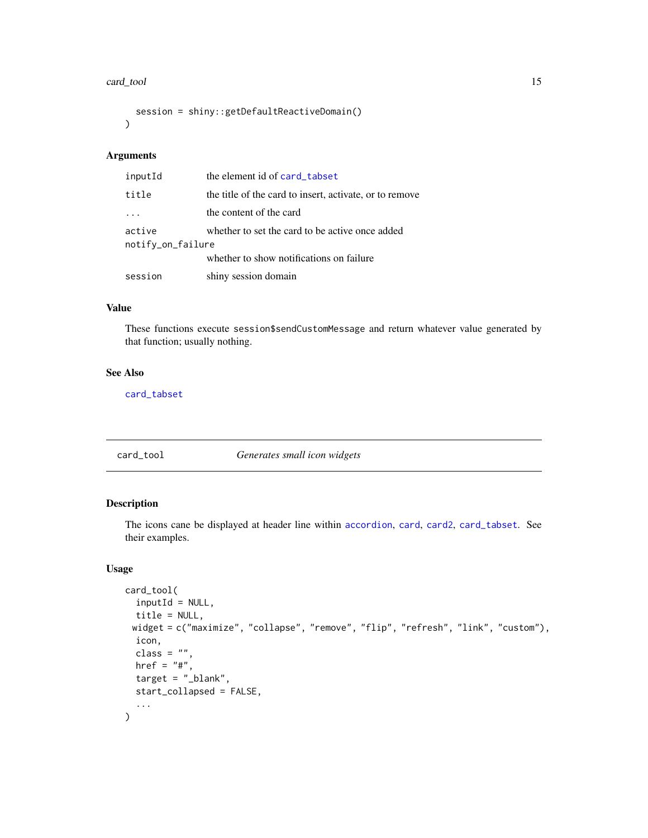#### <span id="page-14-0"></span>card\_tool 15

```
session = shiny::getDefaultReactiveDomain()
\lambda
```
#### Arguments

| inputId           | the element id of card_tabset                           |
|-------------------|---------------------------------------------------------|
| title             | the title of the card to insert, activate, or to remove |
|                   | the content of the card                                 |
| active            | whether to set the card to be active once added         |
| notify_on_failure |                                                         |
|                   | whether to show notifications on failure                |
| session           | shiny session domain                                    |

#### Value

These functions execute session\$sendCustomMessage and return whatever value generated by that function; usually nothing.

## See Also

[card\\_tabset](#page-11-1)

## <span id="page-14-1"></span>card\_tool *Generates small icon widgets*

## Description

The icons cane be displayed at header line within [accordion](#page-2-1), [card](#page-8-1), [card2](#page-8-2), [card\\_tabset](#page-11-1). See their examples.

```
card_tool(
  inputId = NULL,title = NULL,
 widget = c("maximize", "collapse", "remove", "flip", "refresh", "link", "custom"),
  icon,
  class = ".
  href = "#",
  target = "_blank",start_collapsed = FALSE,
  ...
\mathcal{E}
```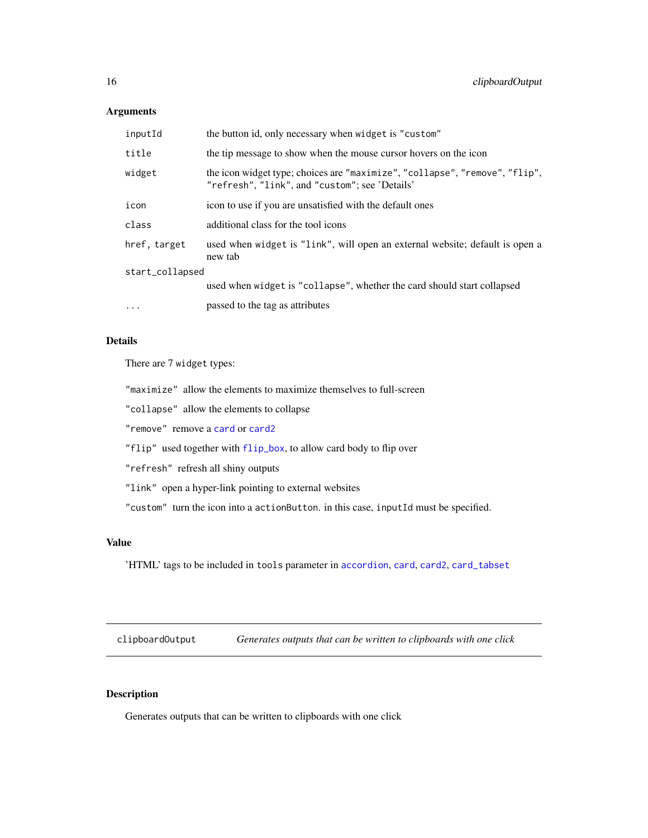## <span id="page-15-0"></span>Arguments

| inputId         | the button id, only necessary when widget is "custom"                                                                         |  |
|-----------------|-------------------------------------------------------------------------------------------------------------------------------|--|
| title           | the tip message to show when the mouse cursor hovers on the icon                                                              |  |
| widget          | the icon widget type; choices are "maximize", "collapse", "remove", "flip",<br>"refresh", "link", and "custom"; see 'Details' |  |
| icon            | icon to use if you are unsatisfied with the default ones                                                                      |  |
| class           | additional class for the tool icons                                                                                           |  |
| href, target    | used when widget is "link", will open an external website; default is open a<br>new tab                                       |  |
| start_collapsed |                                                                                                                               |  |
|                 | used when widget is "collapse", whether the card should start collapsed                                                       |  |
| $\cdots$        | passed to the tag as attributes                                                                                               |  |

#### Details

There are 7 widget types:

"maximize" allow the elements to maximize themselves to full-screen

"collapse" allow the elements to collapse

"remove" remove a [card](#page-8-1) or [card2](#page-8-2)

"flip" used together with [flip\\_box](#page-18-1), to allow card body to flip over

"refresh" refresh all shiny outputs

"link" open a hyper-link pointing to external websites

"custom" turn the icon into a actionButton. in this case, inputId must be specified.

## Value

'HTML' tags to be included in tools parameter in [accordion](#page-2-1), [card](#page-8-1), [card2](#page-8-2), [card\\_tabset](#page-11-1)

clipboardOutput *Generates outputs that can be written to clipboards with one click*

## Description

Generates outputs that can be written to clipboards with one click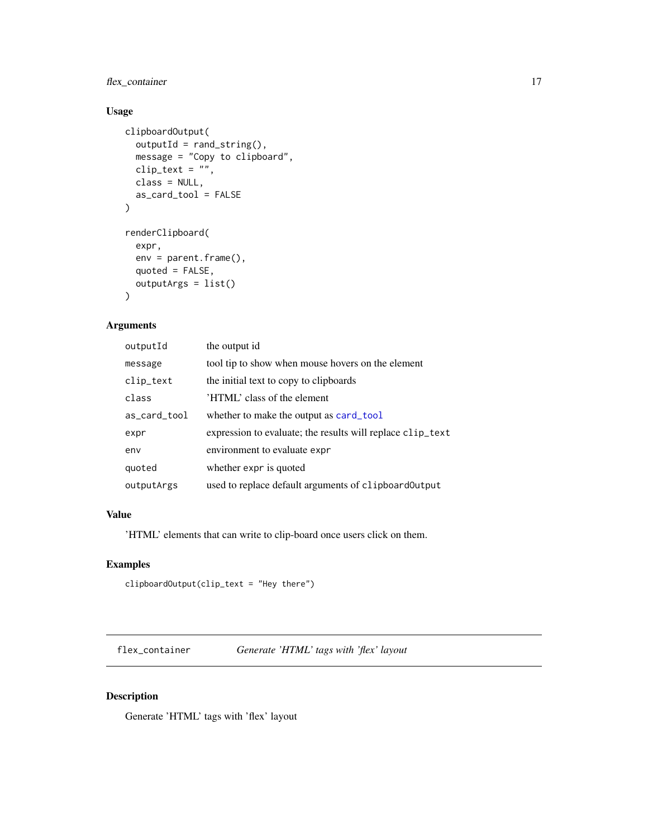## <span id="page-16-0"></span>flex\_container 17

## Usage

```
clipboardOutput(
  outputId = rand\_string(),
 message = "Copy to clipboard",
 clip_text = ",
 class = NULL,
  as_card_tool = FALSE
)
renderClipboard(
  expr,
 env = parent.frame(),
 quoted = FALSE,outputArgs = list()
\mathcal{E}
```
## Arguments

| outputId     | the output id                                              |
|--------------|------------------------------------------------------------|
| message      | tool tip to show when mouse hovers on the element          |
| clip_text    | the initial text to copy to clipboards                     |
| class        | 'HTML' class of the element                                |
| as_card_tool | whether to make the output as card_tool                    |
| expr         | expression to evaluate; the results will replace clip_text |
| env          | environment to evaluate expr                               |
| quoted       | whether expr is quoted                                     |
| outputArgs   | used to replace default arguments of clipboard Output      |

## Value

'HTML' elements that can write to clip-board once users click on them.

## Examples

clipboardOutput(clip\_text = "Hey there")

flex\_container *Generate 'HTML' tags with 'flex' layout*

## Description

Generate 'HTML' tags with 'flex' layout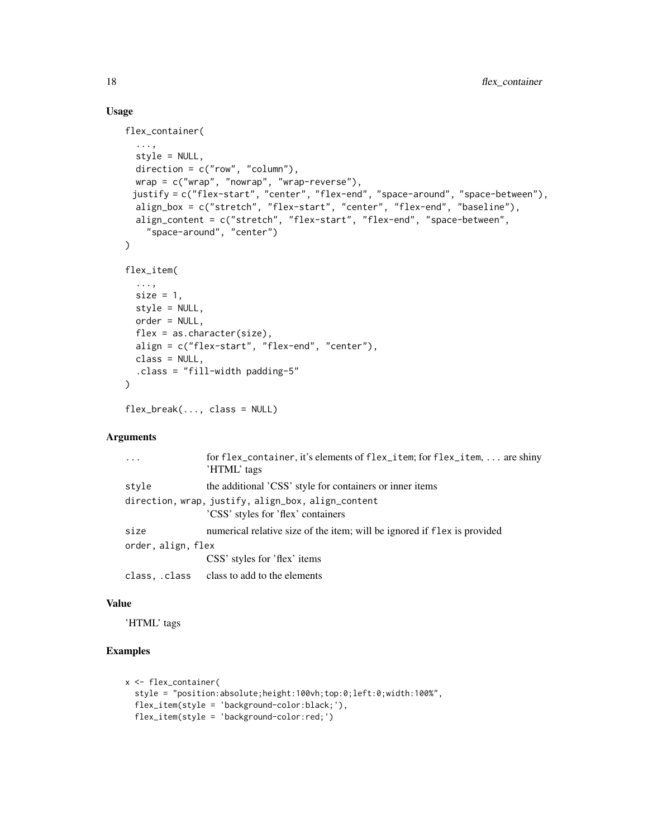## Usage

```
flex_container(
  ...,
  style = NULL,
  direction = c("row", "column"),
 wrap = c("wrap", "nowrap", "wrap-reverse"),justify = c("flex-start", "center", "flex-end", "space-around", "space-between"),
  align_box = c("stretch", "flex-start", "center", "flex-end", "baseline"),
  align_content = c("stretch", "flex-start", "flex-end", "space-between",
    "space-around", "center")
\mathcal{L}flex_item(
  ...,
  size = 1,
  style = NULL,
  order = NULL,
  flex = as.character(size),
  align = c("flex-start", "flex-end", "center"),
 class = NULL,
  .class = "fill-width padding-5"
\mathcal{L}
```

```
flex_break(..., class = NULL)
```
## Arguments

| $\cdots$           | for flex_container, it's elements of flex_item; for flex_item,  are shiny<br>'HTML' tags |
|--------------------|------------------------------------------------------------------------------------------|
| style              | the additional 'CSS' style for containers or inner items                                 |
|                    | direction, wrap, justify, align_box, align_content                                       |
|                    | 'CSS' styles for 'flex' containers                                                       |
| size               | numerical relative size of the item; will be ignored if flex is provided                 |
| order, align, flex |                                                                                          |
|                    | CSS' styles for 'flex' items                                                             |
|                    | class, class class to add to the elements                                                |
|                    |                                                                                          |

#### Value

'HTML' tags

## Examples

```
x <- flex_container(
  style = "position:absolute;height:100vh;top:0;left:0;width:100%",
  flex_item(style = 'background-color:black;'),
  flex_item(style = 'background-color:red;')
```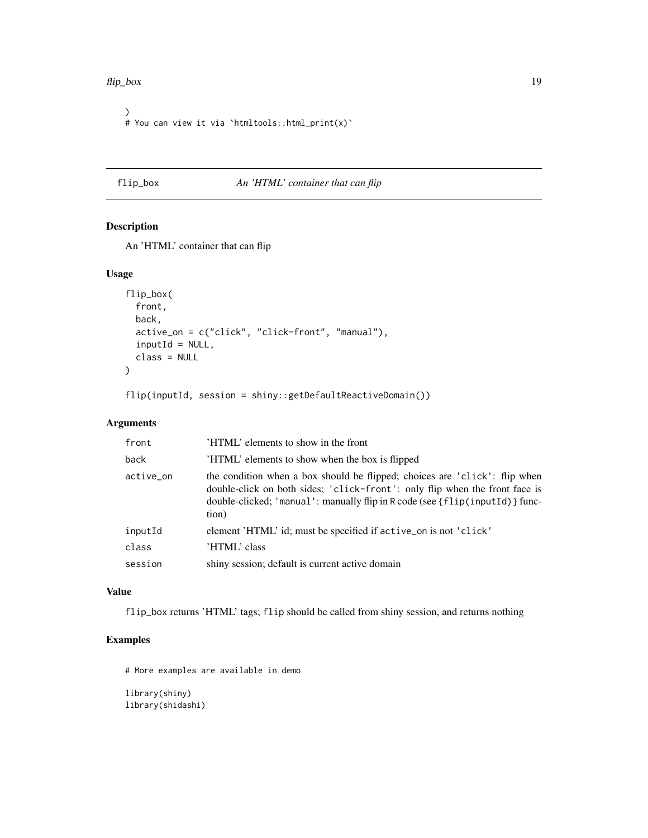#### <span id="page-18-0"></span>flip\_box 19

```
)
# You can view it via `htmltools::html_print(x)`
```
## <span id="page-18-1"></span>flip\_box *An 'HTML' container that can flip*

## Description

An 'HTML' container that can flip

## Usage

```
flip_box(
  front,
 back,
  active_on = c("click", "click-front", "manual"),
  inputId = NULL,class = NULL
)
```
flip(inputId, session = shiny::getDefaultReactiveDomain())

## Arguments

| front     | 'HTML' elements to show in the front                                                                                                                                                                                                               |
|-----------|----------------------------------------------------------------------------------------------------------------------------------------------------------------------------------------------------------------------------------------------------|
| back      | 'HTML' elements to show when the box is flipped                                                                                                                                                                                                    |
| active_on | the condition when a box should be flipped; choices are 'click': flip when<br>double-click on both sides; 'click-front': only flip when the front face is<br>double-clicked; 'manual': manually flip in R code (see {flip(inputId)} func-<br>tion) |
| inputId   | element 'HTML' id; must be specified if active_on is not 'click'                                                                                                                                                                                   |
| class     | 'HTML' class                                                                                                                                                                                                                                       |
| session   | shiny session; default is current active domain                                                                                                                                                                                                    |

## Value

flip\_box returns 'HTML' tags; flip should be called from shiny session, and returns nothing

## Examples

# More examples are available in demo

library(shiny) library(shidashi)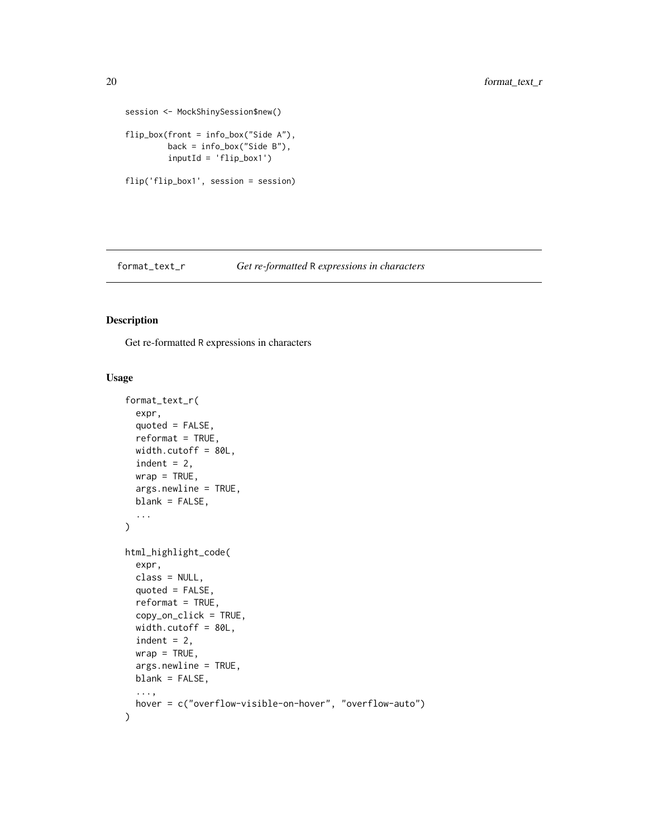```
session <- MockShinySession$new()
flip_box(front = info_box("Side A"),
        back = info_box("Side B"),
        inputId = 'flip_box1')
flip('flip_box1', session = session)
```
<span id="page-19-1"></span>format\_text\_r *Get re-formatted* R *expressions in characters*

## <span id="page-19-2"></span>Description

Get re-formatted R expressions in characters

```
format_text_r(
  expr,
  quoted = FALSE,reformat = TRUE,width.cutoff = 80L,
  indent = 2,
 wrap = TRUE,args.newline = TRUE,
 blank = FALSE,
  ...
)
html_highlight_code(
  expr,
  class = NULL,
  quoted = FALSE,reformat = TRUE,copy_on_click = TRUE,
  width.cutoff = 80L,
  indent = 2,
  wrap = TRUE,
  args.newline = TRUE,
 blank = FALSE,
  ...,
  hover = c("overflow-visible-on-hover", "overflow-auto")
\mathcal{E}
```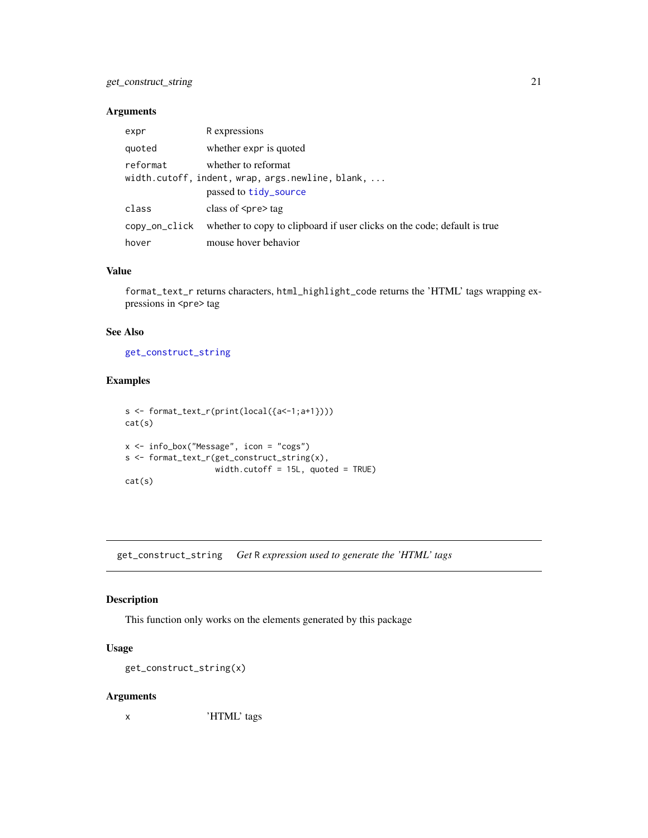## <span id="page-20-0"></span>get\_construct\_string 21

#### Arguments

| expr          | R expressions                                                                                    |
|---------------|--------------------------------------------------------------------------------------------------|
| quoted        | whether expr is quoted                                                                           |
| reformat      | whether to reformat<br>width.cutoff, indent, wrap, args.newline, blank,<br>passed to tidy_source |
| class         | class of $\langle$ pre $\rangle$ tag                                                             |
| copy_on_click | whether to copy to clipboard if user clicks on the code; default is true                         |
| hover         | mouse hover behavior                                                                             |

#### Value

format\_text\_r returns characters, html\_highlight\_code returns the 'HTML' tags wrapping expressions in <pre> tag

## See Also

[get\\_construct\\_string](#page-20-1)

#### Examples

```
s <- format_text_r(print(local({a<-1;a+1})))
cat(s)
x <- info_box("Message", icon = "cogs")
s <- format_text_r(get_construct_string(x),
                  width.cutoff = 15L, quoted = TRUE)
cat(s)
```
<span id="page-20-1"></span>get\_construct\_string *Get* R *expression used to generate the 'HTML' tags*

## Description

This function only works on the elements generated by this package

## Usage

get\_construct\_string(x)

## Arguments

x 'HTML' tags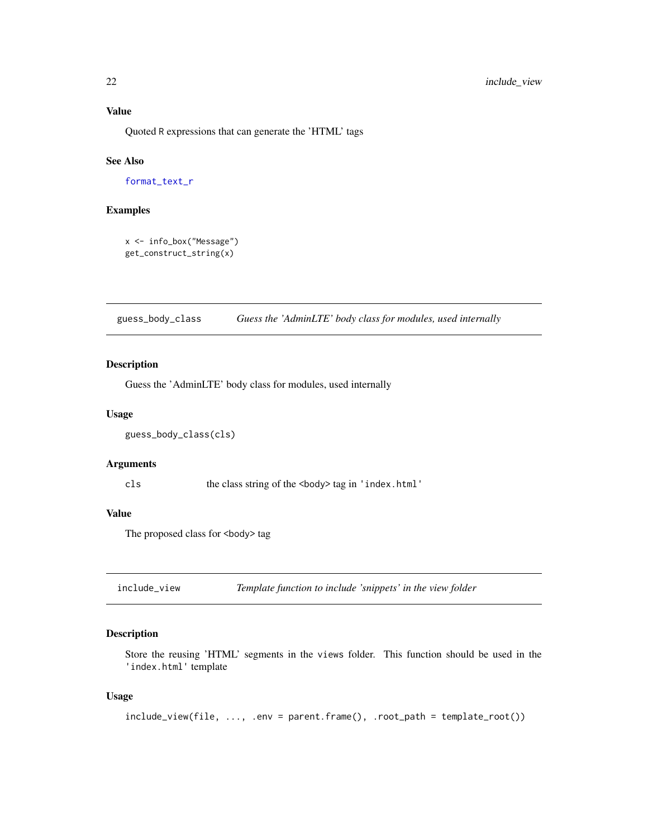#### <span id="page-21-0"></span>Value

Quoted R expressions that can generate the 'HTML' tags

## See Also

[format\\_text\\_r](#page-19-1)

## Examples

```
x <- info_box("Message")
get_construct_string(x)
```
guess\_body\_class *Guess the 'AdminLTE' body class for modules, used internally*

#### Description

Guess the 'AdminLTE' body class for modules, used internally

#### Usage

```
guess_body_class(cls)
```
#### Arguments

cls the class string of the <body> tag in 'index.html'

#### Value

The proposed class for <br/>body> tag

include\_view *Template function to include 'snippets' in the view folder*

#### Description

Store the reusing 'HTML' segments in the views folder. This function should be used in the 'index.html' template

```
include\_view(file, ..., env = parent-frame(), root\_path = template\_root())
```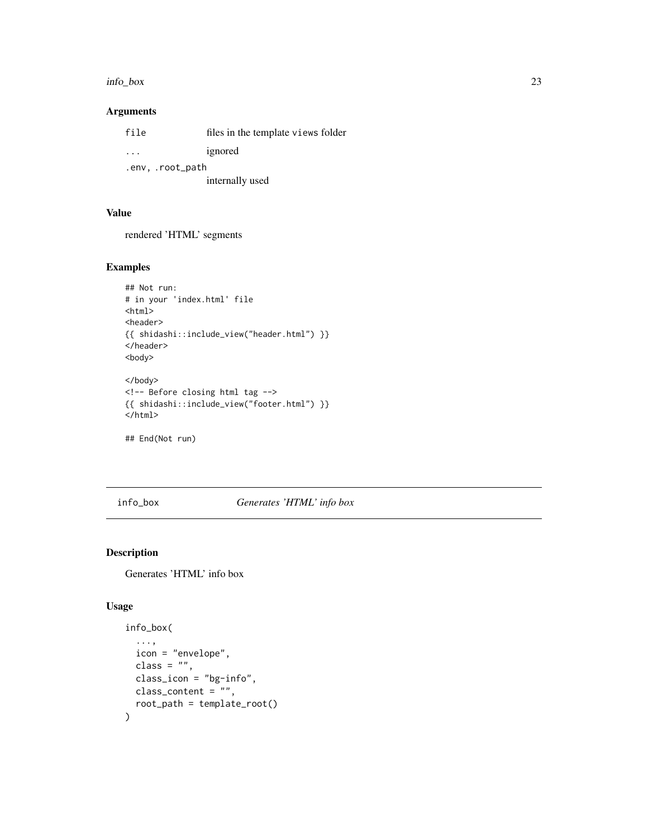#### <span id="page-22-0"></span>info\_box 23

## Arguments

| file                    | files in the template views folder |  |
|-------------------------|------------------------------------|--|
| $\cdot$ $\cdot$ $\cdot$ | ignored                            |  |
| .env, .root_path        |                                    |  |
|                         | internally used                    |  |

## Value

rendered 'HTML' segments

## Examples

```
## Not run:
# in your 'index.html' file
<html><header>
{{ shidashi::include_view("header.html") }}
</header>
<body>
</body>
<!-- Before closing html tag -->
{{ shidashi::include_view("footer.html") }}
</html>
```
## End(Not run)

info\_box *Generates 'HTML' info box*

## Description

Generates 'HTML' info box

```
info_box(
  ...,
  icon = "envelope",
 class = ",
 class_icon = "bg-info",
 class_content = ",
  root_path = template_root()
\mathcal{E}
```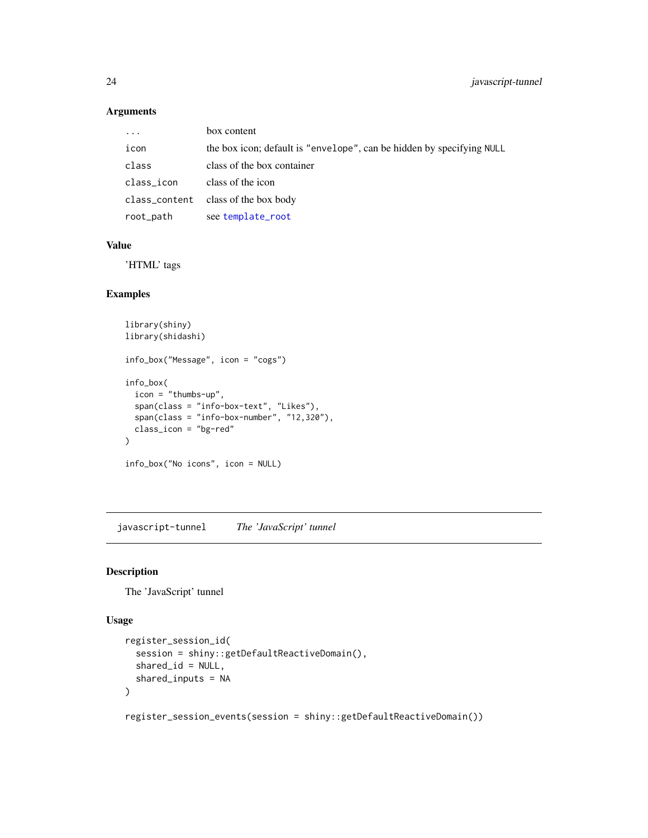## <span id="page-23-0"></span>Arguments

| $\ddotsc$  | box content                                                           |
|------------|-----------------------------------------------------------------------|
| icon       | the box icon; default is "envelope", can be hidden by specifying NULL |
| class      | class of the box container                                            |
| class_icon | class of the icon                                                     |
|            | class_content class of the box body                                   |
| root_path  | see template_root                                                     |

## Value

'HTML' tags

## Examples

```
library(shiny)
library(shidashi)
info_box("Message", icon = "cogs")
info_box(
  icon = "thumbs-up",
  span(class = "info-box-text", "Likes"),
  span(class = "info-box-number", "12,320"),
  class_icon = "bg-red"
\overline{\phantom{a}}info_box("No icons", icon = NULL)
```
javascript-tunnel *The 'JavaScript' tunnel*

## Description

The 'JavaScript' tunnel

#### Usage

```
register_session_id(
  session = shiny::getDefaultReactiveDomain(),
  shared_id = NULL,
  shared_inputs = NA
\mathcal{L}
```
register\_session\_events(session = shiny::getDefaultReactiveDomain())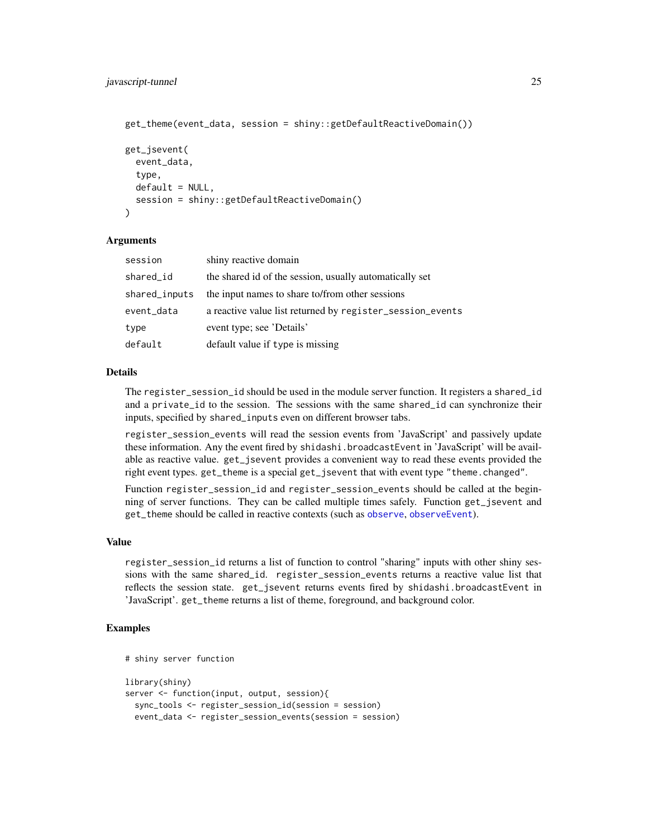```
get_theme(event_data, session = shiny::getDefaultReactiveDomain())
get_jsevent(
  event_data,
  type,
  default = NULL,session = shiny::getDefaultReactiveDomain()
)
```
#### **Arguments**

| session       | shiny reactive domain                                     |
|---------------|-----------------------------------------------------------|
| shared_id     | the shared id of the session, usually automatically set   |
| shared_inputs | the input names to share to/from other sessions           |
| event_data    | a reactive value list returned by register_session_events |
| type          | event type; see 'Details'                                 |
| default       | default value if type is missing                          |

## Details

The register\_session\_id should be used in the module server function. It registers a shared\_id and a private\_id to the session. The sessions with the same shared\_id can synchronize their inputs, specified by shared\_inputs even on different browser tabs.

register\_session\_events will read the session events from 'JavaScript' and passively update these information. Any the event fired by shidashi.broadcastEvent in 'JavaScript' will be available as reactive value. get\_jsevent provides a convenient way to read these events provided the right event types. get\_theme is a special get\_jsevent that with event type "theme.changed".

Function register\_session\_id and register\_session\_events should be called at the beginning of server functions. They can be called multiple times safely. Function get\_jsevent and get\_theme should be called in reactive contexts (such as [observe](#page-0-0), [observeEvent](#page-0-0)).

#### Value

register\_session\_id returns a list of function to control "sharing" inputs with other shiny sessions with the same shared\_id. register\_session\_events returns a reactive value list that reflects the session state. get\_jsevent returns events fired by shidashi.broadcastEvent in 'JavaScript'. get\_theme returns a list of theme, foreground, and background color.

## Examples

```
# shiny server function
library(shiny)
server <- function(input, output, session){
 sync_tools <- register_session_id(session = session)
 event_data <- register_session_events(session = session)
```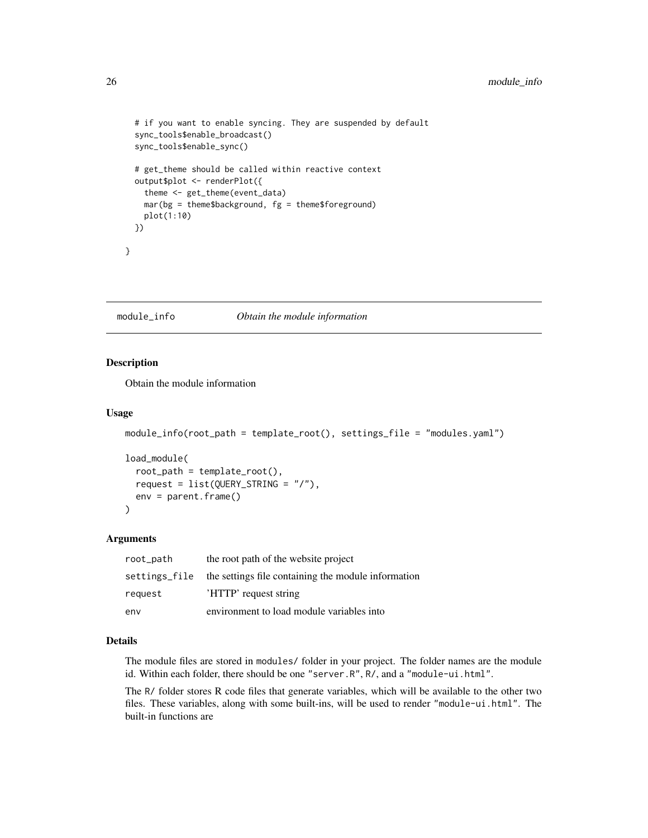```
# if you want to enable syncing. They are suspended by default
sync_tools$enable_broadcast()
sync_tools$enable_sync()
# get_theme should be called within reactive context
output$plot <- renderPlot({
  theme <- get_theme(event_data)
  mar(bg = them \text{the} theme$background, fg = them \text{the} foreground)
  plot(1:10)
})
```
module\_info *Obtain the module information*

#### Description

}

Obtain the module information

#### Usage

```
module_info(root_path = template_root(), settings_file = "modules.yaml")
```

```
load_module(
  root_path = template_root(),
 request = list(QUERY_STRING = "/"),
  env = parent.frame()
)
```
#### Arguments

| root_path     | the root path of the website project                |
|---------------|-----------------------------------------------------|
| settings_file | the settings file containing the module information |
| request       | 'HTTP' request string                               |
| env           | environment to load module variables into           |

#### Details

The module files are stored in modules/ folder in your project. The folder names are the module id. Within each folder, there should be one "server.R", R/, and a "module-ui.html".

The R/ folder stores R code files that generate variables, which will be available to the other two files. These variables, along with some built-ins, will be used to render "module-ui.html". The built-in functions are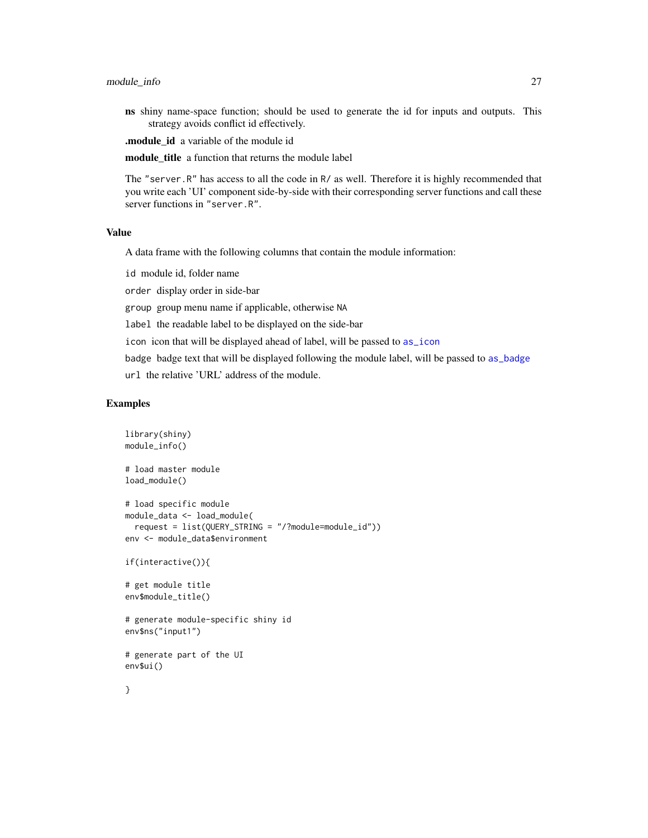#### <span id="page-26-0"></span>module\_info 27

ns shiny name-space function; should be used to generate the id for inputs and outputs. This strategy avoids conflict id effectively.

.module\_id a variable of the module id

module\_title a function that returns the module label

The "server.R" has access to all the code in R/ as well. Therefore it is highly recommended that you write each 'UI' component side-by-side with their corresponding server functions and call these server functions in "server.R".

## Value

A data frame with the following columns that contain the module information:

id module id, folder name

order display order in side-bar

group group menu name if applicable, otherwise NA

label the readable label to be displayed on the side-bar

icon icon that will be displayed ahead of label, will be passed to [as\\_icon](#page-6-2)

badge badge text that will be displayed following the module label, will be passed to [as\\_badge](#page-6-1)

url the relative 'URL' address of the module.

#### Examples

```
library(shiny)
module_info()
# load master module
load_module()
# load specific module
module_data <- load_module(
 request = list(QUERY_STRING = "/?module=module_id"))
env <- module_data$environment
if(interactive()){
# get module title
env$module_title()
# generate module-specific shiny id
env$ns("input1")
# generate part of the UI
env$ui()
}
```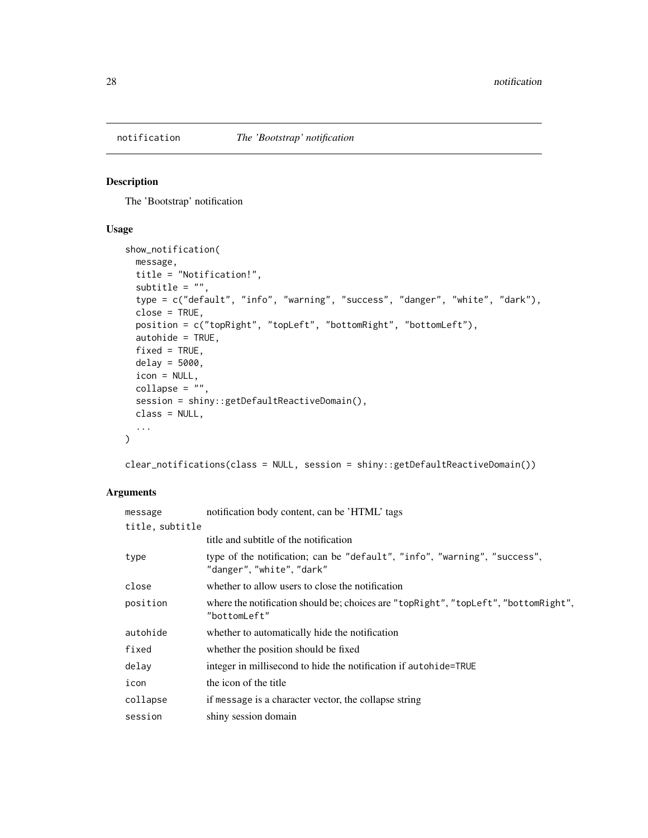<span id="page-27-0"></span>

## Description

The 'Bootstrap' notification

#### Usage

```
show_notification(
 message,
 title = "Notification!",
  subtitle = ",
  type = c("default", "info", "warning", "success", "danger", "white", "dark"),
  close = TRUE,
 position = c("topRight", "topLeft", "bottomRight", "bottomLeft"),
  autohide = TRUE,
  fixed = TRUE,delay = 5000,
  icon = NULL,
 collapse = "",
  session = shiny::getDefaultReactiveDomain(),
 class = NULL,
  ...
\mathcal{L}
```
clear\_notifications(class = NULL, session = shiny::getDefaultReactiveDomain())

## Arguments

| message         | notification body content, can be 'HTML' tags                                                          |  |
|-----------------|--------------------------------------------------------------------------------------------------------|--|
| title, subtitle |                                                                                                        |  |
|                 | title and subtitle of the notification                                                                 |  |
| type            | type of the notification; can be "default", "info", "warning", "success",<br>"danger", "white", "dark" |  |
| close           | whether to allow users to close the notification                                                       |  |
| position        | where the notification should be; choices are "topRight", "topLeft", "bottomRight",<br>"bottomLeft"    |  |
| autohide        | whether to automatically hide the notification                                                         |  |
| fixed           | whether the position should be fixed                                                                   |  |
| delay           | integer in millisecond to hide the notification if autohide=TRUE                                       |  |
| icon            | the icon of the title                                                                                  |  |
| collapse        | if message is a character vector, the collapse string                                                  |  |
| session         | shiny session domain                                                                                   |  |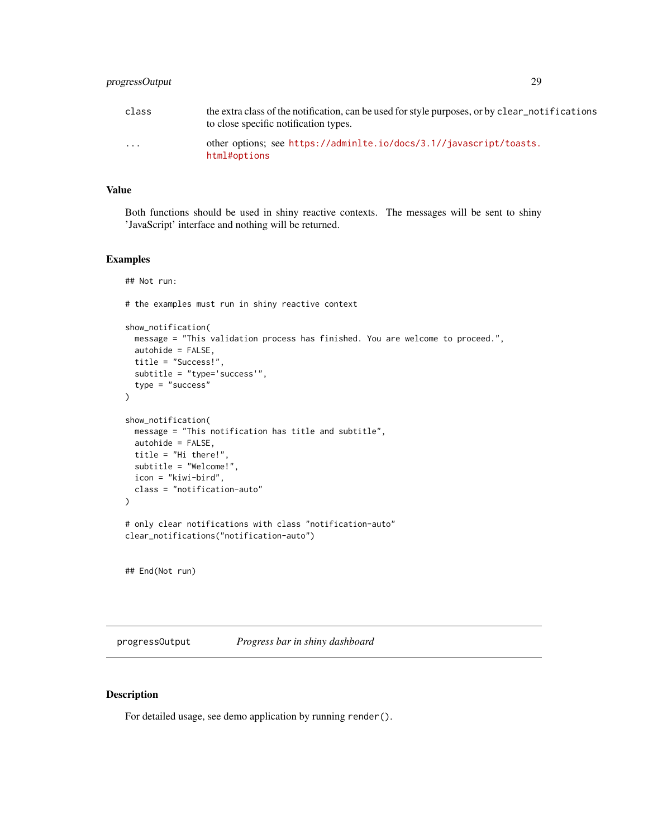<span id="page-28-0"></span>

| class                   | the extra class of the notification, can be used for style purposes, or by clear notifications<br>to close specific notification types. |
|-------------------------|-----------------------------------------------------------------------------------------------------------------------------------------|
| $\cdot$ $\cdot$ $\cdot$ | other options; see https://adminlte.io/docs/3.1//javascript/toasts.<br>html#options                                                     |

#### Value

Both functions should be used in shiny reactive contexts. The messages will be sent to shiny 'JavaScript' interface and nothing will be returned.

#### Examples

```
## Not run:
# the examples must run in shiny reactive context
show_notification(
  message = "This validation process has finished. You are welcome to proceed.",
  autohide = FALSE,
  title = "Success!",
  subtitle = "type='success'",
  type = "success"\mathcal{L}show_notification(
  message = "This notification has title and subtitle",
  autohide = FALSE,
 title = "Hi there!",
  subtitle = "Welcome!",
  icon = "kiwi-bird",
  class = "notification-auto"
\lambda# only clear notifications with class "notification-auto"
clear_notifications("notification-auto")
## End(Not run)
```
<span id="page-28-1"></span>progressOutput *Progress bar in shiny dashboard*

## Description

For detailed usage, see demo application by running render().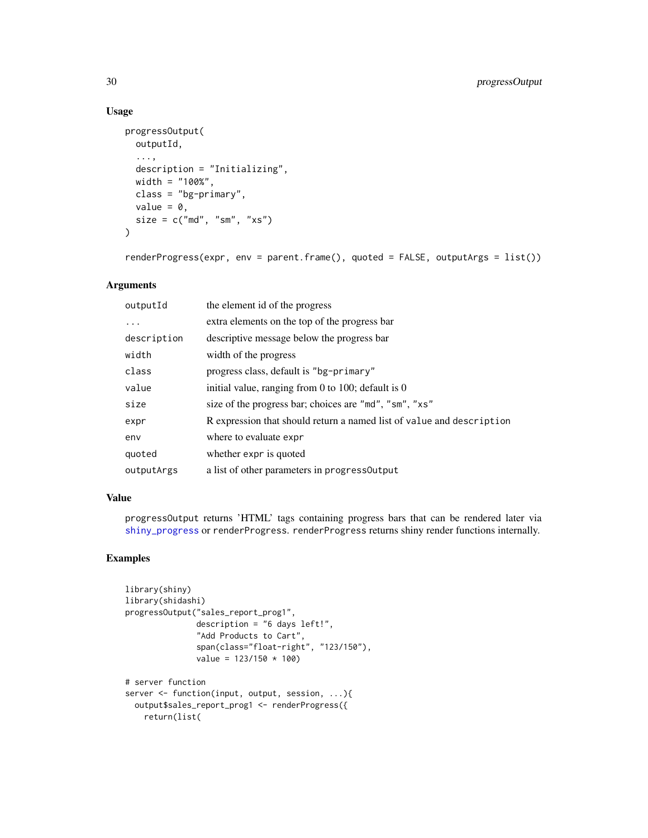## Usage

```
progressOutput(
 outputId,
  ...,
 description = "Initializing",
 width = "100%",
 class = "bg-primary",
 value = 0,
 size = c("md", "sm", "xs")\mathcal{L}
```
renderProgress(expr, env = parent.frame(), quoted = FALSE, outputArgs = list())

## Arguments

| outputId    | the element id of the progress                                        |
|-------------|-----------------------------------------------------------------------|
| .           | extra elements on the top of the progress bar                         |
| description | descriptive message below the progress bar                            |
| width       | width of the progress                                                 |
| class       | progress class, default is "bg-primary"                               |
| value       | initial value, ranging from 0 to 100; default is 0                    |
| size        | size of the progress bar; choices are "md", "sm", "xs"                |
| expr        | R expression that should return a named list of value and description |
| env         | where to evaluate expr                                                |
| quoted      | whether expr is quoted                                                |
| outputArgs  | a list of other parameters in progress Output                         |

#### Value

progressOutput returns 'HTML' tags containing progress bars that can be rendered later via [shiny\\_progress](#page-32-1) or renderProgress. renderProgress returns shiny render functions internally.

## Examples

```
library(shiny)
library(shidashi)
progressOutput("sales_report_prog1",
              description = "6 days left!",
              "Add Products to Cart",
              span(class="float-right", "123/150"),
              value = 123/150 * 100# server function
server <- function(input, output, session, ...){
 output$sales_report_prog1 <- renderProgress({
   return(list(
```
<span id="page-29-0"></span>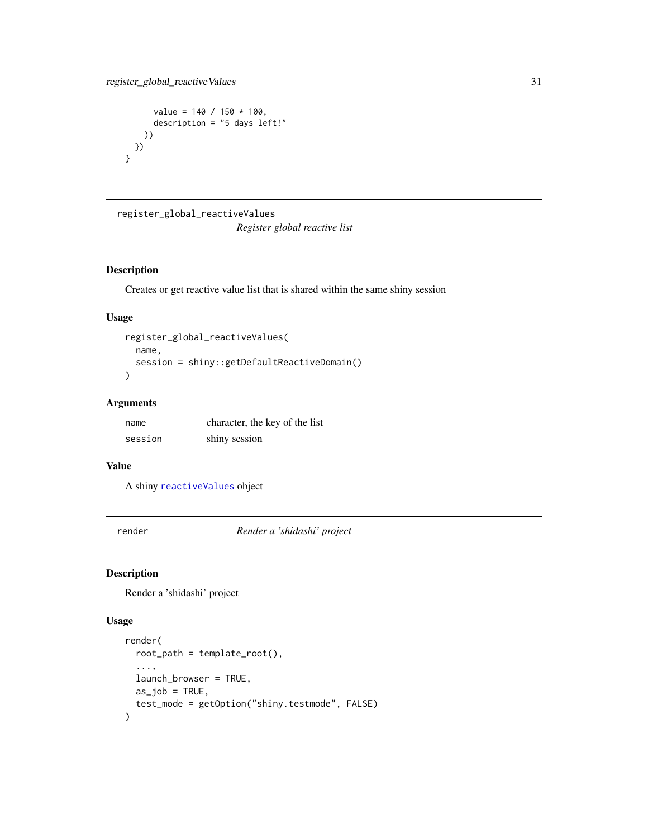```
value = 140 / 150 \times 100,
      description = "5 days left!"
    ))
 })
}
```
register\_global\_reactiveValues

*Register global reactive list*

## Description

Creates or get reactive value list that is shared within the same shiny session

## Usage

```
register_global_reactiveValues(
 name,
  session = shiny::getDefaultReactiveDomain()
)
```
## Arguments

| name    | character, the key of the list |
|---------|--------------------------------|
| session | shiny session                  |

#### Value

A shiny [reactiveValues](#page-0-0) object

render *Render a 'shidashi' project*

## Description

Render a 'shidashi' project

```
render(
  root<sub>-path</sub> = template_root(),
  ...,
  launch_browser = TRUE,
  as_job = TRUE,test_mode = getOption("shiny.testmode", FALSE)
\mathcal{E}
```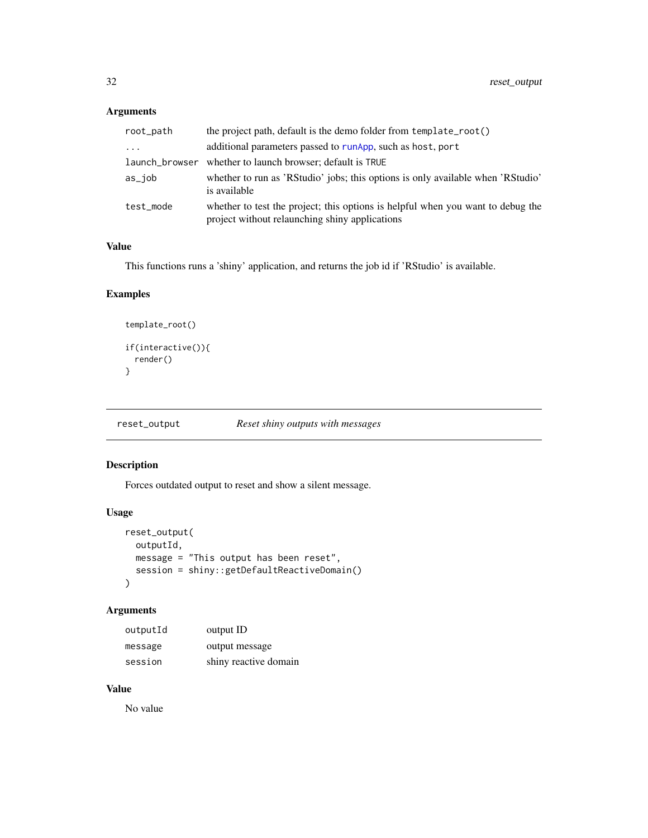## <span id="page-31-0"></span>Arguments

| root_path      | the project path, default is the demo folder from template_root()                                                                 |  |
|----------------|-----------------------------------------------------------------------------------------------------------------------------------|--|
| $\cdots$       | additional parameters passed to runApp, such as host, port                                                                        |  |
| launch_browser | whether to launch browser; default is TRUE                                                                                        |  |
| as_job         | whether to run as 'RStudio' jobs; this options is only available when 'RStudio'<br>is available                                   |  |
| test mode      | whether to test the project; this options is helpful when you want to debug the<br>project without relaunching shiny applications |  |

## Value

This functions runs a 'shiny' application, and returns the job id if 'RStudio' is available.

## Examples

```
template_root()
if(interactive()){
 render()
}
```
reset\_output *Reset shiny outputs with messages*

## Description

Forces outdated output to reset and show a silent message.

## Usage

```
reset_output(
 outputId,
 message = "This output has been reset",
 session = shiny::getDefaultReactiveDomain()
)
```
## Arguments

| outputId | output ID             |
|----------|-----------------------|
| message  | output message        |
| session  | shiny reactive domain |

## Value

No value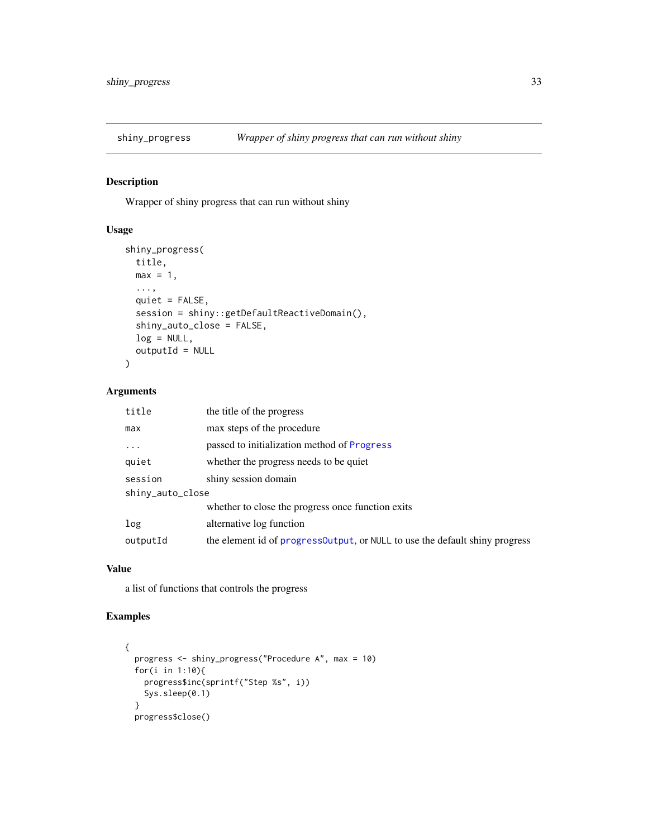<span id="page-32-1"></span><span id="page-32-0"></span>

## Description

Wrapper of shiny progress that can run without shiny

## Usage

```
shiny_progress(
  title,
 max = 1,
  ...,
 quiet = FALSE,
  session = shiny::getDefaultReactiveDomain(),
 shiny_auto_close = FALSE,
 log = NULL,outputId = NULL)
```
## Arguments

| title            | the title of the progress                                                    |  |
|------------------|------------------------------------------------------------------------------|--|
| max              | max steps of the procedure                                                   |  |
| $\ddots$ .       | passed to initialization method of Progress                                  |  |
| quiet            | whether the progress needs to be quiet                                       |  |
| session          | shiny session domain                                                         |  |
| shiny_auto_close |                                                                              |  |
|                  | whether to close the progress once function exits                            |  |
| log              | alternative log function                                                     |  |
| outputId         | the element id of progress Output, or NULL to use the default shiny progress |  |

#### Value

a list of functions that controls the progress

## Examples

```
{
  progress <- shiny_progress("Procedure A", max = 10)
  for(i in 1:10){
   progress$inc(sprintf("Step %s", i))
   Sys.sleep(0.1)
  }
  progress$close()
```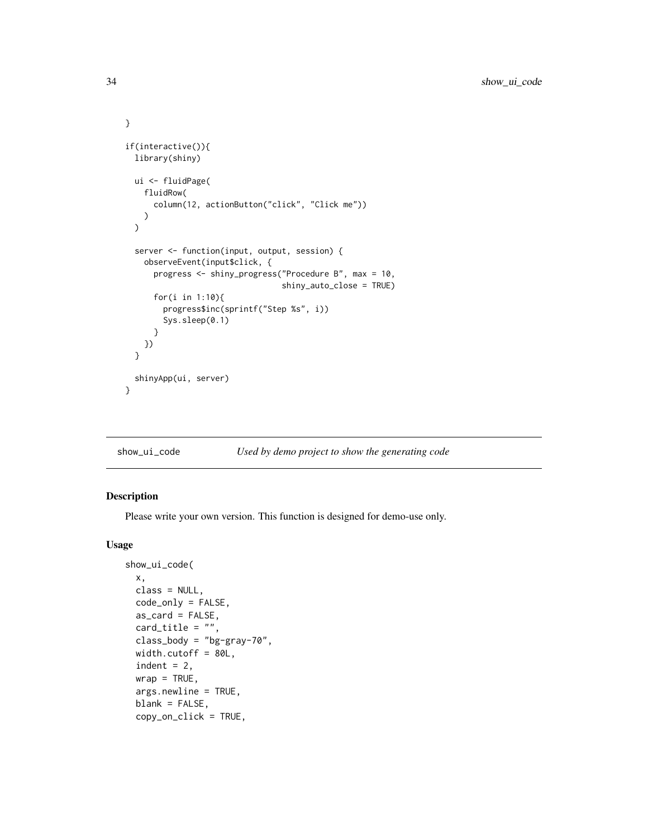```
}
if(interactive()){
 library(shiny)
 ui <- fluidPage(
    fluidRow(
      column(12, actionButton("click", "Click me"))
   )
 \overline{)}server <- function(input, output, session) {
    observeEvent(input$click, {
      progress <- shiny_progress("Procedure B", max = 10,
                                  shiny_auto_close = TRUE)
      for(i in 1:10){
        progress$inc(sprintf("Step %s", i))
        Sys.sleep(0.1)
      }
   })
 }
 shinyApp(ui, server)
}
```

```
show_ui_code Used by demo project to show the generating code
```
## Description

Please write your own version. This function is designed for demo-use only.

```
show_ui_code(
 x,
 class = NULL,
 code_only = FALSE,
 as\_card = FALSE,card\_title = "",class_body = "bg-gray-70",
 width.cutoff = 80L,
  indent = 2,
 wrap = TRUE,args.newline = TRUE,
  blank = FALSE,copy_on_click = TRUE,
```
<span id="page-33-0"></span>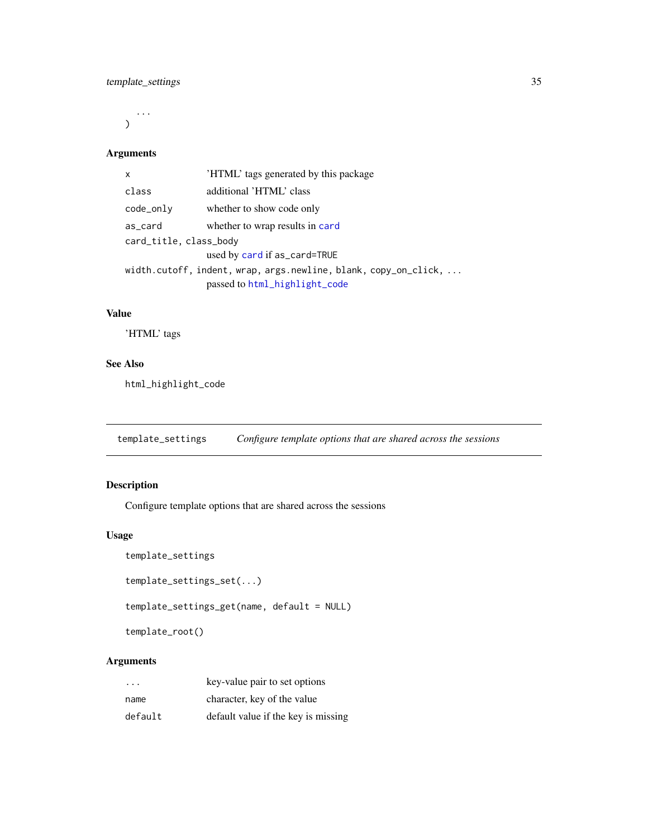<span id="page-34-0"></span>...  $\mathcal{L}$ 

## Arguments

| $\mathsf{x}$           | 'HTML' tags generated by this package                                                                    |  |
|------------------------|----------------------------------------------------------------------------------------------------------|--|
| class                  | additional 'HTML' class                                                                                  |  |
| code_only              | whether to show code only                                                                                |  |
| as_card                | whether to wrap results in card                                                                          |  |
| card_title, class_body |                                                                                                          |  |
|                        | used by card if as_card=TRUE                                                                             |  |
|                        | width.cutoff, indent, wrap, $args.newline$ , blank, $copy\_on\_click, $<br>passed to html_highlight_code |  |

## Value

'HTML' tags

## See Also

html\_highlight\_code

<span id="page-34-2"></span>template\_settings *Configure template options that are shared across the sessions*

## <span id="page-34-1"></span>Description

Configure template options that are shared across the sessions

## Usage

```
template_settings
```

```
template_settings_set(...)
```

```
template_settings_get(name, default = NULL)
```
template\_root()

## Arguments

| .       | key-value pair to set options       |
|---------|-------------------------------------|
| name    | character, key of the value         |
| default | default value if the key is missing |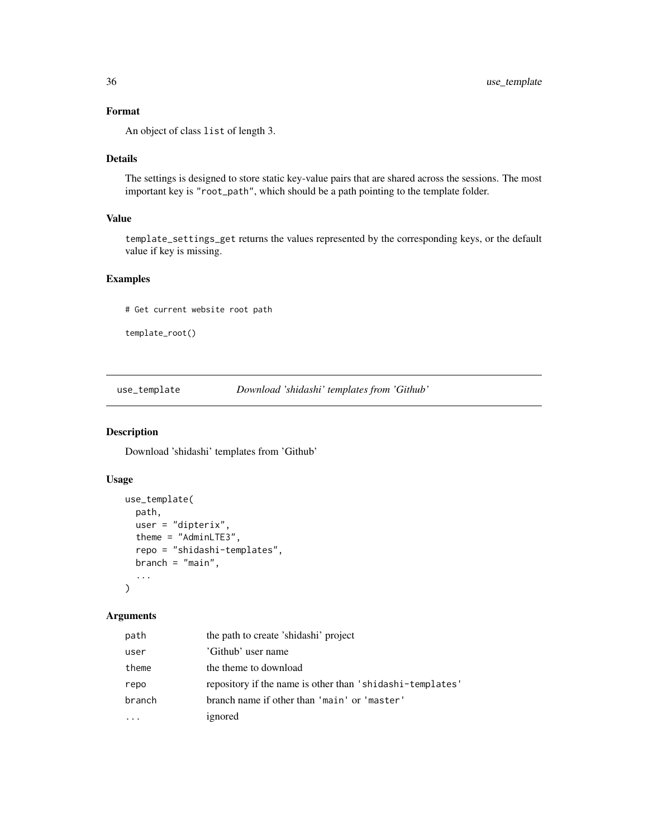## <span id="page-35-0"></span>Format

An object of class list of length 3.

## Details

The settings is designed to store static key-value pairs that are shared across the sessions. The most important key is "root\_path", which should be a path pointing to the template folder.

## Value

template\_settings\_get returns the values represented by the corresponding keys, or the default value if key is missing.

## Examples

# Get current website root path

```
template_root()
```
<span id="page-35-1"></span>use\_template *Download 'shidashi' templates from 'Github'*

#### Description

Download 'shidashi' templates from 'Github'

### Usage

```
use_template(
  path,
  user = "dipterix",
  theme = "AdminLTE3",
  repo = "shidashi-templates",
  branch = "main",...
\mathcal{E}
```
## Arguments

| path   | the path to create 'shidashi' project                     |
|--------|-----------------------------------------------------------|
| user   | 'Github' user name                                        |
| theme  | the theme to download                                     |
| repo   | repository if the name is other than 'shidashi-templates' |
| branch | branch name if other than 'main' or 'master'              |
|        | ignored                                                   |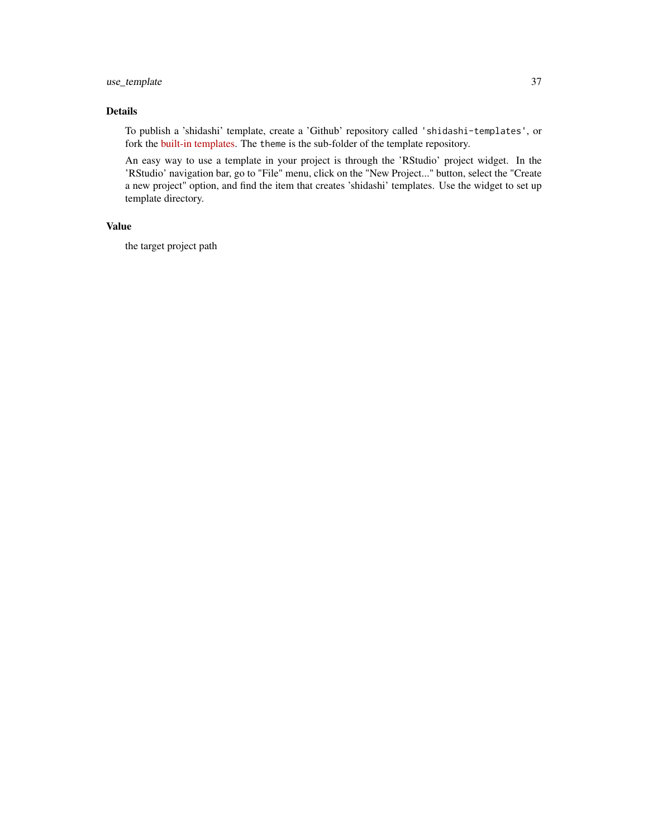## use\_template 37

## Details

To publish a 'shidashi' template, create a 'Github' repository called 'shidashi-templates', or fork the [built-in templates.](https://github.com/dipterix/shidashi-templates) The theme is the sub-folder of the template repository.

An easy way to use a template in your project is through the 'RStudio' project widget. In the 'RStudio' navigation bar, go to "File" menu, click on the "New Project..." button, select the "Create a new project" option, and find the item that creates 'shidashi' templates. Use the widget to set up template directory.

#### Value

the target project path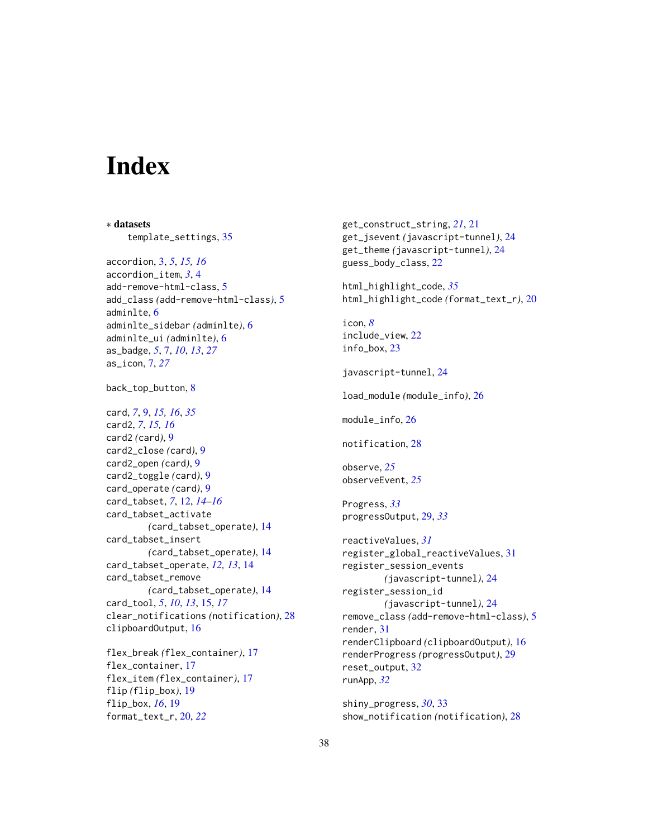# <span id="page-37-0"></span>**Index**

∗ datasets template\_settings, [35](#page-34-0) accordion, [3,](#page-2-0) *[5](#page-4-0)*, *[15,](#page-14-0) [16](#page-15-0)* accordion\_item, *[3](#page-2-0)*, [4](#page-3-0) add-remove-html-class, [5](#page-4-0) add\_class *(*add-remove-html-class*)*, [5](#page-4-0) adminlte, [6](#page-5-0) adminlte\_sidebar *(*adminlte*)*, [6](#page-5-0) adminlte\_ui *(*adminlte*)*, [6](#page-5-0) as\_badge, *[5](#page-4-0)*, [7,](#page-6-0) *[10](#page-9-0)*, *[13](#page-12-0)*, *[27](#page-26-0)* as\_icon, [7,](#page-6-0) *[27](#page-26-0)* back\_top\_button, [8](#page-7-0) card, *[7](#page-6-0)*, [9,](#page-8-0) *[15,](#page-14-0) [16](#page-15-0)*, *[35](#page-34-0)* card2, *[7](#page-6-0)*, *[15,](#page-14-0) [16](#page-15-0)* card2 *(*card*)*, [9](#page-8-0) card2\_close *(*card*)*, [9](#page-8-0) card2\_open *(*card*)*, [9](#page-8-0) card2\_toggle *(*card*)*, [9](#page-8-0) card\_operate *(*card*)*, [9](#page-8-0) card\_tabset, *[7](#page-6-0)*, [12,](#page-11-0) *[14–](#page-13-0)[16](#page-15-0)* card\_tabset\_activate *(*card\_tabset\_operate*)*, [14](#page-13-0) card\_tabset\_insert *(*card\_tabset\_operate*)*, [14](#page-13-0) card\_tabset\_operate, *[12,](#page-11-0) [13](#page-12-0)*, [14](#page-13-0) card\_tabset\_remove *(*card\_tabset\_operate*)*, [14](#page-13-0) card\_tool, *[5](#page-4-0)*, *[10](#page-9-0)*, *[13](#page-12-0)*, [15,](#page-14-0) *[17](#page-16-0)* clear\_notifications *(*notification*)*, [28](#page-27-0) clipboardOutput, [16](#page-15-0) flex\_break *(*flex\_container*)*, [17](#page-16-0) flex\_container, [17](#page-16-0) flex\_item *(*flex\_container*)*, [17](#page-16-0) flip *(*flip\_box*)*, [19](#page-18-0)

flip\_box, *[16](#page-15-0)*, [19](#page-18-0) format\_text\_r, [20,](#page-19-0) *[22](#page-21-0)* get\_construct\_string, *[21](#page-20-0)*, [21](#page-20-0) get\_jsevent *(*javascript-tunnel*)*, [24](#page-23-0) get\_theme *(*javascript-tunnel*)*, [24](#page-23-0) guess\_body\_class, [22](#page-21-0) html\_highlight\_code, *[35](#page-34-0)* html\_highlight\_code *(*format\_text\_r*)*, [20](#page-19-0) icon, *[8](#page-7-0)* include\_view, [22](#page-21-0) info\_box, [23](#page-22-0) javascript-tunnel, [24](#page-23-0) load\_module *(*module\_info*)*, [26](#page-25-0) module\_info, [26](#page-25-0) notification, [28](#page-27-0) observe, *[25](#page-24-0)* observeEvent, *[25](#page-24-0)* Progress, *[33](#page-32-0)* progressOutput, [29,](#page-28-0) *[33](#page-32-0)* reactiveValues, *[31](#page-30-0)* register\_global\_reactiveValues, [31](#page-30-0) register\_session\_events *(*javascript-tunnel*)*, [24](#page-23-0) register\_session\_id *(*javascript-tunnel*)*, [24](#page-23-0) remove\_class *(*add-remove-html-class*)*, [5](#page-4-0) render, [31](#page-30-0) renderClipboard *(*clipboardOutput*)*, [16](#page-15-0) renderProgress *(*progressOutput*)*, [29](#page-28-0) reset\_output, [32](#page-31-0)

shiny\_progress, *[30](#page-29-0)*, [33](#page-32-0) show\_notification *(*notification*)*, [28](#page-27-0)

runApp, *[32](#page-31-0)*